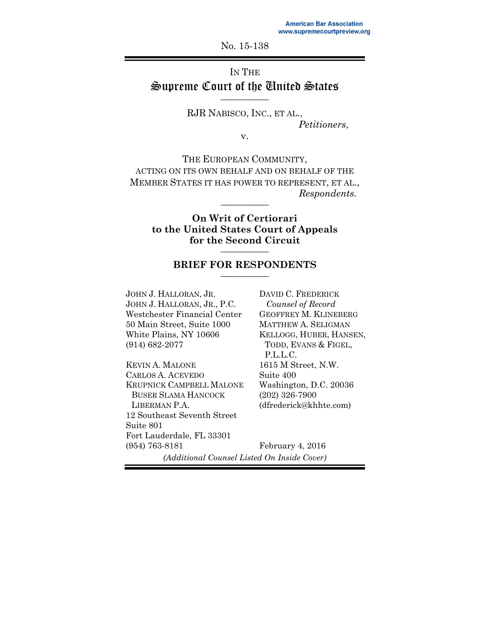No. 15-138

# IN THE Supreme Court of the United States \_\_\_\_\_\_\_\_\_\_

RJR NABISCO, INC., ET AL., *Petitioners*,

v.

THE EUROPEAN COMMUNITY, ACTING ON ITS OWN BEHALF AND ON BEHALF OF THE MEMBER STATES IT HAS POWER TO REPRESENT, ET AL., *Respondents.* \_\_\_\_\_\_\_\_\_\_

**On Writ of Certiorari to the United States Court of Appeals for the Second Circuit** \_\_\_\_\_\_\_\_\_\_

### **BRIEF FOR RESPONDENTS** \_\_\_\_\_\_\_\_\_\_

JOHN J. HALLORAN, JR. JOHN J. HALLORAN, JR., P.C. Westchester Financial Center 50 Main Street, Suite 1000 White Plains, NY 10606 (914) 682-2077

KEVIN A. MALONE CARLOS A. ACEVEDO KRUPNICK CAMPBELL MALONE BUSER SLAMA HANCOCK LIBERMAN P.A. 12 Southeast Seventh Street Suite 801 Fort Lauderdale, FL 33301 (954) 763-8181

DAVID C. FREDERICK *Counsel of Record*  GEOFFREY M. KLINEBERG MATTHEW A. SELIGMAN KELLOGG, HUBER, HANSEN, TODD, EVANS & FIGEL, P.L.L.C. 1615 M Street, N.W. Suite 400 Washington, D.C. 20036 (202) 326-7900 (dfrederick@khhte.com)

February 4, 2016 *(Additional Counsel Listed On Inside Cover)*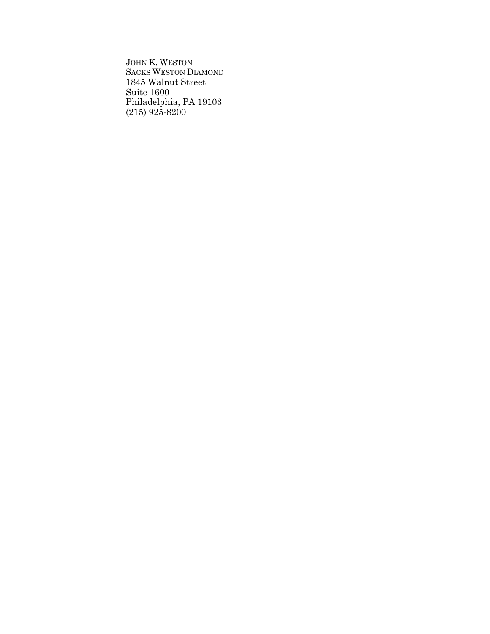JOHN K. WESTON SACKS WESTON DIAMOND 1845 Walnut Street Suite 1600 Philadelphia, PA 19103 (215) 925-8200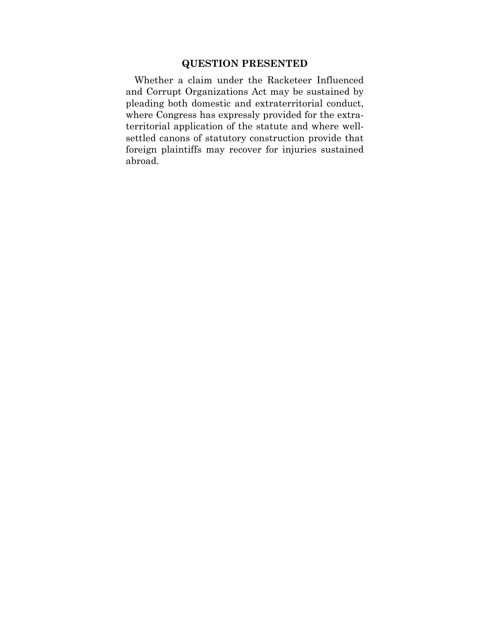## **QUESTION PRESENTED**

Whether a claim under the Racketeer Influenced and Corrupt Organizations Act may be sustained by pleading both domestic and extraterritorial conduct, where Congress has expressly provided for the extraterritorial application of the statute and where wellsettled canons of statutory construction provide that foreign plaintiffs may recover for injuries sustained abroad.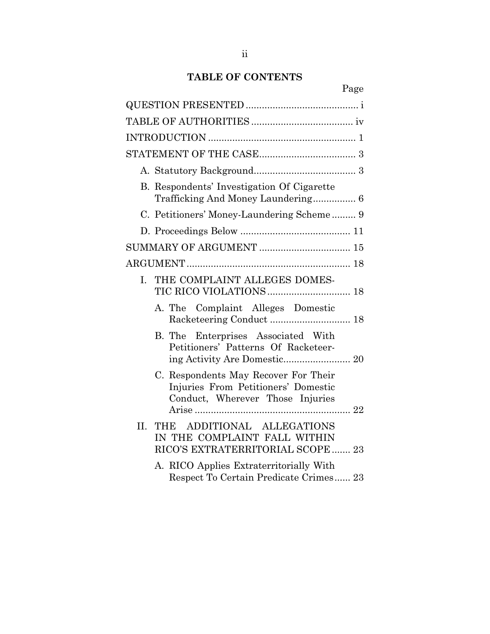# **TABLE OF CONTENTS**

|                                                                                                                 | Page |
|-----------------------------------------------------------------------------------------------------------------|------|
|                                                                                                                 |      |
|                                                                                                                 |      |
|                                                                                                                 |      |
|                                                                                                                 |      |
|                                                                                                                 |      |
| B. Respondents' Investigation Of Cigarette<br>Trafficking And Money Laundering 6                                |      |
| C. Petitioners' Money-Laundering Scheme 9                                                                       |      |
|                                                                                                                 |      |
|                                                                                                                 |      |
|                                                                                                                 |      |
| THE COMPLAINT ALLEGES DOMES-<br>L.                                                                              |      |
| A. The Complaint Alleges Domestic                                                                               |      |
| B. The Enterprises Associated With<br>Petitioners' Patterns Of Racketeer-                                       |      |
| C. Respondents May Recover For Their<br>Injuries From Petitioners' Domestic<br>Conduct, Wherever Those Injuries |      |
| ADDITIONAL ALLEGATIONS<br>$\Pi$ .<br>THE<br>IN THE COMPLAINT FALL WITHIN<br>RICO'S EXTRATERRITORIAL SCOPE 23    |      |
| A. RICO Applies Extraterritorially With<br>Respect To Certain Predicate Crimes 23                               |      |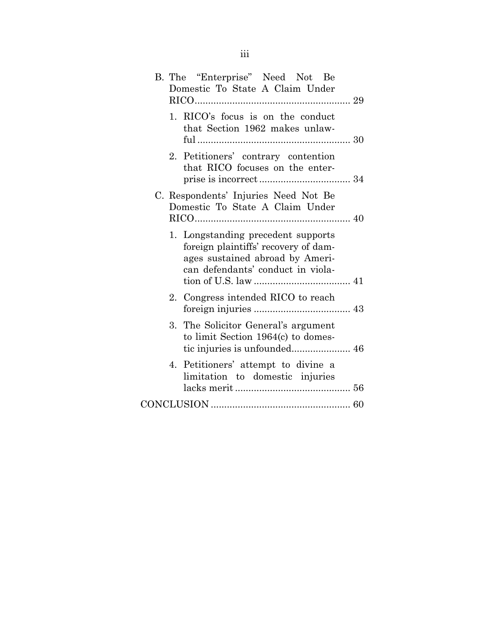| B. The "Enterprise" Need Not Be<br>Domestic To State A Claim Under                                                                                 |
|----------------------------------------------------------------------------------------------------------------------------------------------------|
| 1. RICO's focus is on the conduct<br>that Section 1962 makes unlaw-                                                                                |
| 2. Petitioners' contrary contention<br>that RICO focuses on the enter-                                                                             |
| C. Respondents' Injuries Need Not Be<br>Domestic To State A Claim Under                                                                            |
| 1. Longstanding precedent supports<br>foreign plaintiffs' recovery of dam-<br>ages sustained abroad by Ameri-<br>can defendants' conduct in viola- |
| 2. Congress intended RICO to reach                                                                                                                 |
| 3. The Solicitor General's argument<br>to limit Section $1964(c)$ to domes-                                                                        |
| Petitioners' attempt to divine a<br>4.<br>limitation to domestic injuries                                                                          |
|                                                                                                                                                    |

iii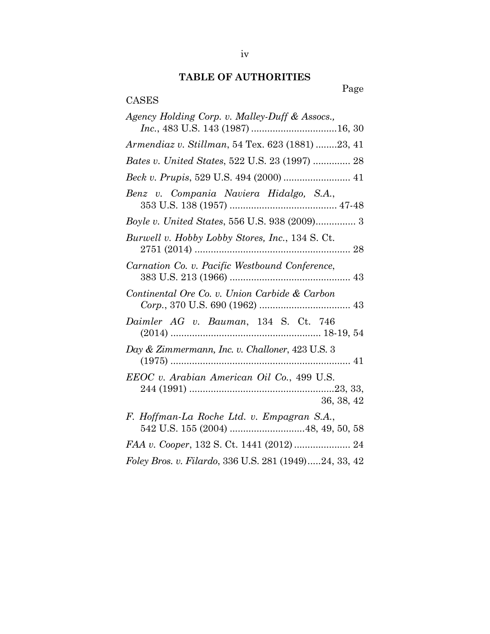# **TABLE OF AUTHORITIES**

## CASES

# Page

| Agency Holding Corp. v. Malley-Duff & Assocs.,           |
|----------------------------------------------------------|
| <i>Inc.</i> , 483 U.S. 143 (1987) 16, 30                 |
| Armendiaz v. Stillman, 54 Tex. 623 (1881) 23, 41         |
| Bates v. United States, 522 U.S. 23 (1997)  28           |
| Beck v. Prupis, 529 U.S. 494 (2000)  41                  |
| Benz v. Compania Naviera Hidalgo, S.A.,                  |
| Boyle v. United States, 556 U.S. 938 (2009) 3            |
| <i>Burwell v. Hobby Lobby Stores, Inc., 134 S. Ct.</i>   |
| Carnation Co. v. Pacific Westbound Conference,           |
| Continental Ore Co. v. Union Carbide & Carbon            |
| Daimler AG v. Bauman, 134 S. Ct. 746                     |
| Day & Zimmermann, Inc. v. Challoner, 423 U.S. 3          |
| EEOC v. Arabian American Oil Co., 499 U.S.<br>36, 38, 42 |
| F. Hoffman-La Roche Ltd. v. Empagran S.A.,               |
|                                                          |
| Foley Bros. v. Filardo, 336 U.S. 281 (1949)24, 33, 42    |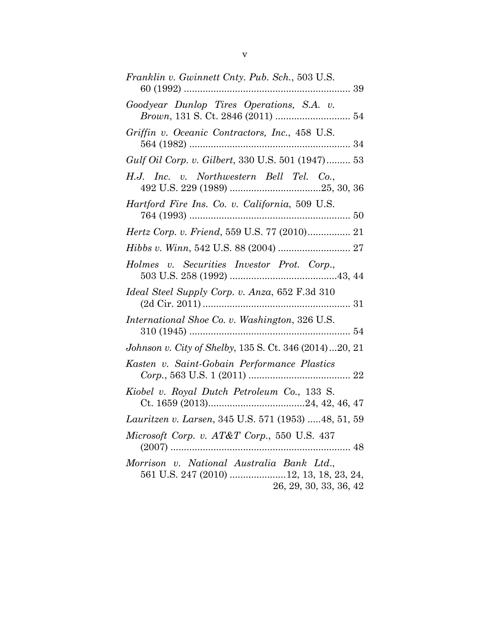| Franklin v. Gwinnett Cnty. Pub. Sch., 503 U.S.                                                                 |
|----------------------------------------------------------------------------------------------------------------|
| Goodyear Dunlop Tires Operations, S.A. v.                                                                      |
| Griffin v. Oceanic Contractors, Inc., 458 U.S.                                                                 |
| Gulf Oil Corp. v. Gilbert, 330 U.S. 501 (1947) 53                                                              |
| H.J. Inc. v. Northwestern Bell Tel. Co.,                                                                       |
| Hartford Fire Ins. Co. v. California, 509 U.S.                                                                 |
|                                                                                                                |
|                                                                                                                |
| Holmes v. Securities Investor Prot. Corp.,                                                                     |
| Ideal Steel Supply Corp. v. Anza, 652 F.3d 310                                                                 |
| International Shoe Co. v. Washington, 326 U.S.                                                                 |
| Johnson v. City of Shelby, 135 S. Ct. 346 (2014)20, 21                                                         |
| Kasten v. Saint-Gobain Performance Plastics                                                                    |
| Kiobel v. Royal Dutch Petroleum Co., 133 S.                                                                    |
| <i>Lauritzen v. Larsen, 345 U.S. 571 (1953) 48, 51, 59</i>                                                     |
| Microsoft Corp. v. AT&T Corp., 550 U.S. 437                                                                    |
| Morrison v. National Australia Bank Ltd.,<br>561 U.S. 247 (2010) 12, 13, 18, 23, 24,<br>26, 29, 30, 33, 36, 42 |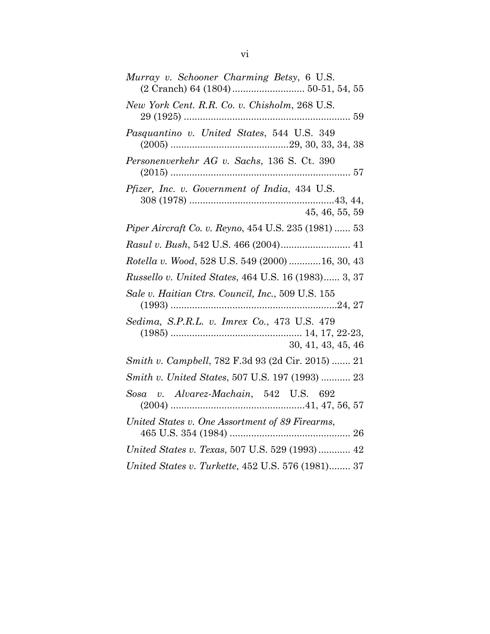| Murray v. Schooner Charming Betsy, 6 U.S.                       |
|-----------------------------------------------------------------|
| New York Cent. R.R. Co. v. Chisholm, 268 U.S.                   |
| Pasquantino v. United States, 544 U.S. 349                      |
| Personenverkehr AG v. Sachs, 136 S. Ct. 390                     |
| Pfizer, Inc. v. Government of India, 434 U.S.<br>45, 46, 55, 59 |
| Piper Aircraft Co. v. Reyno, 454 U.S. 235 (1981)  53            |
| Rasul v. Bush, 542 U.S. 466 (2004) 41                           |
| Rotella v. Wood, 528 U.S. 549 (2000) 16, 30, 43                 |
| Russello v. United States, 464 U.S. 16 (1983) 3, 37             |
| Sale v. Haitian Ctrs. Council, Inc., 509 U.S. 155               |
| Sedima, S.P.R.L. v. Imrex Co., 473 U.S. 479                     |
| Smith v. Campbell, 782 F.3d 93 (2d Cir. 2015)  21               |
| Smith v. United States, 507 U.S. 197 (1993)  23                 |
| Sosa v. Alvarez-Machain, 542 U.S. 692                           |
| United States v. One Assortment of 89 Firearms,                 |
| United States v. Texas, 507 U.S. 529 (1993) 42                  |
| United States v. Turkette, 452 U.S. 576 (1981) 37               |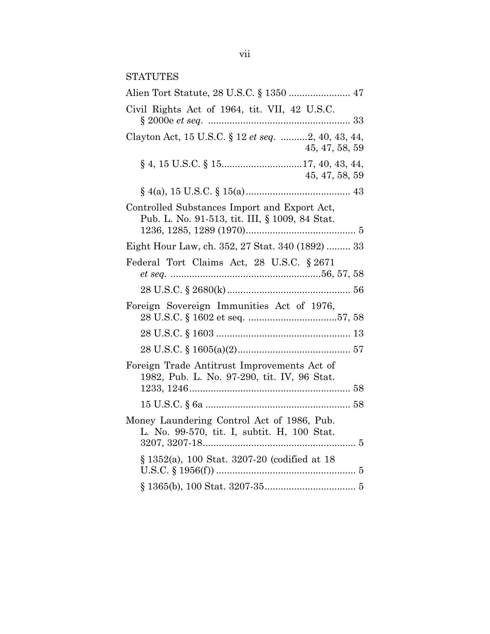| <b>STATUTES</b>                                                                                            |
|------------------------------------------------------------------------------------------------------------|
| Alien Tort Statute, 28 U.S.C. § 1350  47                                                                   |
| Civil Rights Act of 1964, tit. VII, 42 U.S.C.                                                              |
| Clayton Act, 15 U.S.C. § 12 et seq. 2, 40, 43, 44,<br>45, 47, 58, 59                                       |
| 45, 47, 58, 59                                                                                             |
|                                                                                                            |
| Controlled Substances Import and Export Act,<br>Pub. L. No. 91-513, tit. III, § 1009, 84 Stat.             |
| Eight Hour Law, ch. 352, 27 Stat. 340 (1892)  33                                                           |
| Federal Tort Claims Act, 28 U.S.C. § 2671                                                                  |
|                                                                                                            |
| Foreign Sovereign Immunities Act of 1976,                                                                  |
|                                                                                                            |
|                                                                                                            |
| Foreign Trade Antitrust Improvements Act of<br>1982, Pub. L. No. 97-290, tit. IV, 96 Stat.                 |
|                                                                                                            |
| Money Laundering Control Act of 1986, Pub.<br>L. No. 99-570, tit. I, subtit. H, 100 Stat.<br>3207, 3207-18 |
| § 1352(a), 100 Stat. 3207-20 (codified at 18                                                               |
|                                                                                                            |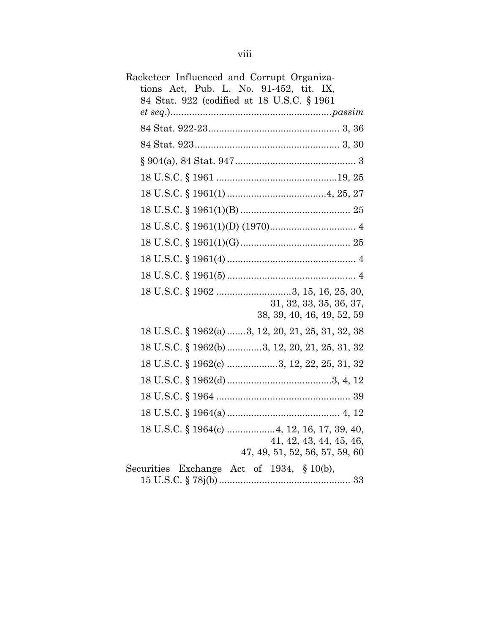| Racketeer Influenced and Corrupt Organiza-                                                              |
|---------------------------------------------------------------------------------------------------------|
| tions Act, Pub. L. No. 91-452, tit. IX,                                                                 |
| 84 Stat. 922 (codified at 18 U.S.C. § 1961<br>$et seq. ) \dots 0.00000$                                 |
|                                                                                                         |
|                                                                                                         |
|                                                                                                         |
|                                                                                                         |
|                                                                                                         |
|                                                                                                         |
|                                                                                                         |
|                                                                                                         |
|                                                                                                         |
|                                                                                                         |
| 18 U.S.C. § 1962 3, 15, 16, 25, 30,<br>31, 32, 33, 35, 36, 37,<br>38, 39, 40, 46, 49, 52, 59            |
| 18 U.S.C. § 1962(a) 3, 12, 20, 21, 25, 31, 32, 38                                                       |
| 18 U.S.C. § 1962(b) 3, 12, 20, 21, 25, 31, 32                                                           |
| 18 U.S.C. § 1962(c) 3, 12, 22, 25, 31, 32                                                               |
|                                                                                                         |
|                                                                                                         |
|                                                                                                         |
| 18 U.S.C. § 1964(c) 4, 12, 16, 17, 39, 40,<br>41, 42, 43, 44, 45, 46,<br>47, 49, 51, 52, 56, 57, 59, 60 |
| Securities Exchange Act of 1934, $§ 10(b)$ ,                                                            |
|                                                                                                         |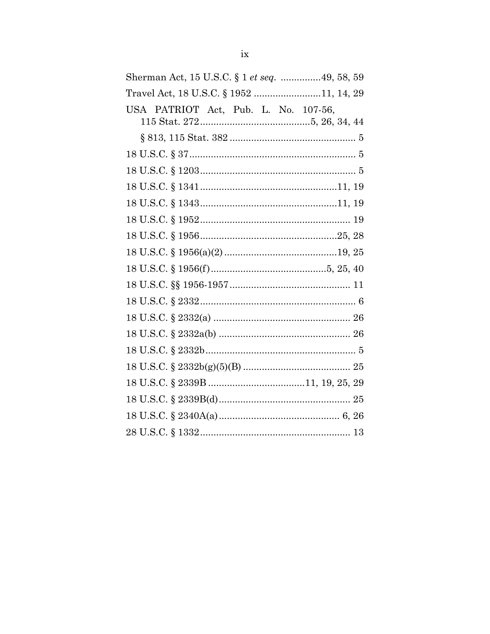| Sherman Act, 15 U.S.C. § 1 et seq. 49, 58, 59 |
|-----------------------------------------------|
| Travel Act, 18 U.S.C. § 1952 11, 14, 29       |
| USA PATRIOT Act, Pub. L. No. 107-56,          |
|                                               |
| $\S 813, 115 \text{ Stat. } 382 \dots 5$      |
|                                               |
|                                               |
|                                               |
|                                               |
|                                               |
|                                               |
|                                               |
|                                               |
|                                               |
|                                               |
|                                               |
|                                               |
|                                               |
|                                               |
|                                               |
|                                               |
|                                               |
|                                               |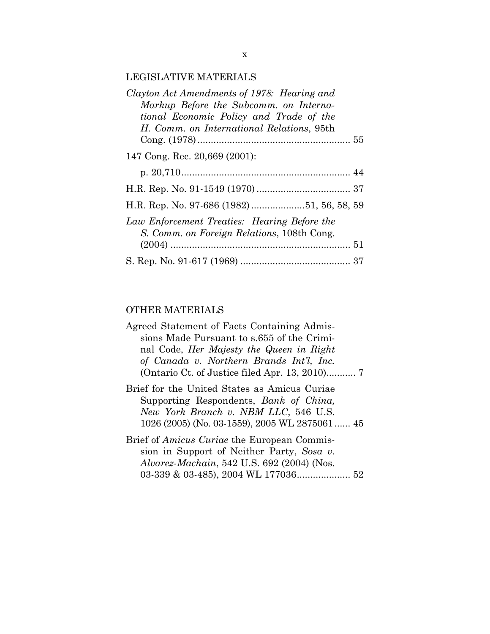## LEGISLATIVE MATERIALS

| Clayton Act Amendments of 1978: Hearing and<br>Markup Before the Subcomm. on Interna-<br>tional Economic Policy and Trade of the<br>H. Comm. on International Relations, 95th |
|-------------------------------------------------------------------------------------------------------------------------------------------------------------------------------|
|                                                                                                                                                                               |
| 147 Cong. Rec. 20,669 (2001):                                                                                                                                                 |
|                                                                                                                                                                               |
|                                                                                                                                                                               |
|                                                                                                                                                                               |
| Law Enforcement Treaties: Hearing Before the<br>S. Comm. on Foreign Relations, 108th Cong.                                                                                    |
|                                                                                                                                                                               |
|                                                                                                                                                                               |

## OTHER MATERIALS

| Agreed Statement of Facts Containing Admis-        |
|----------------------------------------------------|
| sions Made Pursuant to s.655 of the Crimi-         |
| nal Code, Her Majesty the Queen in Right           |
| of Canada v. Northern Brands Int'l, Inc.           |
|                                                    |
| Brief for the United States as Amicus Curiae       |
| Supporting Respondents, Bank of China,             |
| New York Branch v. NBM LLC, 546 U.S.               |
| 1026 (2005) (No. 03-1559), 2005 WL 2875061  45     |
| Brief of <i>Amicus Curiae</i> the European Commis- |
| sion in Support of Neither Party, Sosa v.          |
| <i>Alvarez-Machain</i> , 542 U.S. 692 (2004) (Nos. |
|                                                    |
|                                                    |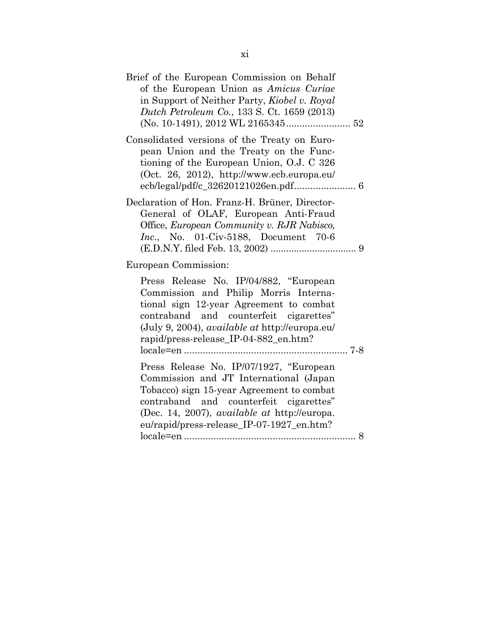| Brief of the European Commission on Behalf<br>of the European Union as Amicus Curiae<br>in Support of Neither Party, Kiobel v. Royal<br>Dutch Petroleum Co., 133 S. Ct. 1659 (2013)                                                                                          |  |
|------------------------------------------------------------------------------------------------------------------------------------------------------------------------------------------------------------------------------------------------------------------------------|--|
| Consolidated versions of the Treaty on Euro-<br>pean Union and the Treaty on the Func-<br>tioning of the European Union, O.J. C 326<br>(Oct. 26, 2012), http://www.ecb.europa.eu/                                                                                            |  |
| Declaration of Hon. Franz-H. Brüner, Director-<br>General of OLAF, European Anti-Fraud<br>Office, European Community v. RJR Nabisco,<br><i>Inc.</i> , No. 01-Civ-5188, Document 70-6                                                                                         |  |
| European Commission:                                                                                                                                                                                                                                                         |  |
| Press Release No. IP/04/882, "European<br>Commission and Philip Morris Interna-<br>tional sign 12-year Agreement to combat<br>contraband and counterfeit cigarettes"<br>(July 9, 2004), <i>available at</i> http://europa.eu/<br>rapid/press-release_IP-04-882_en.htm?       |  |
| Press Release No. IP/07/1927, "European<br>Commission and JT International (Japan<br>Tobacco) sign 15-year Agreement to combat<br>contraband and counterfeit cigarettes"<br>(Dec. 14, 2007), <i>available at http://europa.</i><br>eu/rapid/press-release_IP-07-1927_en.htm? |  |
|                                                                                                                                                                                                                                                                              |  |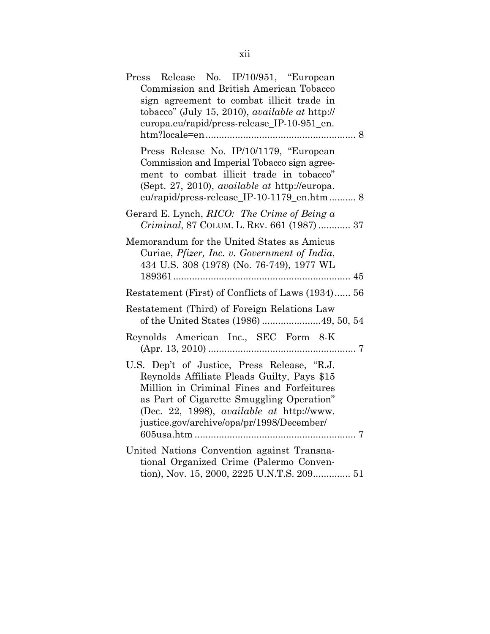| Press Release No. IP/10/951, "European<br>Commission and British American Tobacco<br>sign agreement to combat illicit trade in<br>tobacco" (July 15, 2010), available at http://<br>europa.eu/rapid/press-release_IP-10-951_en.                                                       |
|---------------------------------------------------------------------------------------------------------------------------------------------------------------------------------------------------------------------------------------------------------------------------------------|
| Press Release No. IP/10/1179, "European<br>Commission and Imperial Tobacco sign agree-<br>ment to combat illicit trade in tobacco"<br>(Sept. 27, 2010), <i>available at http://europa.</i><br>eu/rapid/press-release_IP-10-1179_en.htm 8                                              |
| Gerard E. Lynch, RICO: The Crime of Being a<br>Criminal, 87 COLUM. L. REV. 661 (1987)  37                                                                                                                                                                                             |
| Memorandum for the United States as Amicus<br>Curiae, Pfizer, Inc. v. Government of India,<br>434 U.S. 308 (1978) (No. 76-749), 1977 WL                                                                                                                                               |
| Restatement (First) of Conflicts of Laws (1934) 56                                                                                                                                                                                                                                    |
| Restatement (Third) of Foreign Relations Law                                                                                                                                                                                                                                          |
| Reynolds American Inc., SEC Form 8-K                                                                                                                                                                                                                                                  |
| U.S. Dep't of Justice, Press Release, "R.J.<br>Reynolds Affiliate Pleads Guilty, Pays \$15<br>Million in Criminal Fines and Forfeitures<br>as Part of Cigarette Smuggling Operation"<br>(Dec. 22, 1998), <i>available at http://www.</i><br>justice.gov/archive/opa/pr/1998/December/ |
| United Nations Convention against Transna-<br>tional Organized Crime (Palermo Conven-                                                                                                                                                                                                 |
| tion), Nov. 15, 2000, 2225 U.N.T.S. 209 51                                                                                                                                                                                                                                            |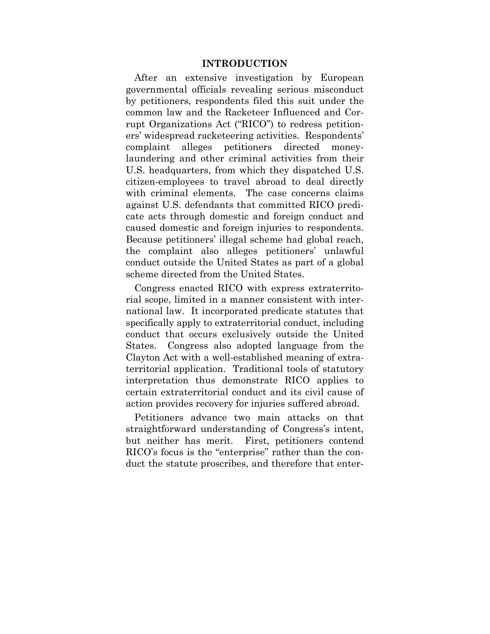#### **INTRODUCTION**

After an extensive investigation by European governmental officials revealing serious misconduct by petitioners, respondents filed this suit under the common law and the Racketeer Influenced and Corrupt Organizations Act ("RICO") to redress petitioners' widespread racketeering activities. Respondents' complaint alleges petitioners directed moneylaundering and other criminal activities from their U.S. headquarters, from which they dispatched U.S. citizen-employees to travel abroad to deal directly with criminal elements. The case concerns claims against U.S. defendants that committed RICO predicate acts through domestic and foreign conduct and caused domestic and foreign injuries to respondents. Because petitioners' illegal scheme had global reach, the complaint also alleges petitioners' unlawful conduct outside the United States as part of a global scheme directed from the United States.

Congress enacted RICO with express extraterritorial scope, limited in a manner consistent with international law. It incorporated predicate statutes that specifically apply to extraterritorial conduct, including conduct that occurs exclusively outside the United States. Congress also adopted language from the Clayton Act with a well-established meaning of extraterritorial application. Traditional tools of statutory interpretation thus demonstrate RICO applies to certain extraterritorial conduct and its civil cause of action provides recovery for injuries suffered abroad.

Petitioners advance two main attacks on that straightforward understanding of Congress's intent, but neither has merit. First, petitioners contend RICO's focus is the "enterprise" rather than the conduct the statute proscribes, and therefore that enter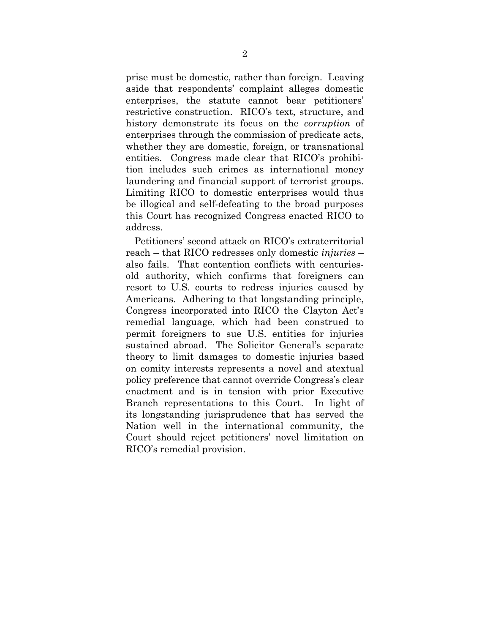prise must be domestic, rather than foreign. Leaving aside that respondents' complaint alleges domestic enterprises, the statute cannot bear petitioners' restrictive construction. RICO's text, structure, and history demonstrate its focus on the *corruption* of enterprises through the commission of predicate acts, whether they are domestic, foreign, or transnational entities. Congress made clear that RICO's prohibition includes such crimes as international money laundering and financial support of terrorist groups. Limiting RICO to domestic enterprises would thus be illogical and self-defeating to the broad purposes this Court has recognized Congress enacted RICO to address.

Petitioners' second attack on RICO's extraterritorial reach – that RICO redresses only domestic *injuries* – also fails. That contention conflicts with centuriesold authority, which confirms that foreigners can resort to U.S. courts to redress injuries caused by Americans. Adhering to that longstanding principle, Congress incorporated into RICO the Clayton Act's remedial language, which had been construed to permit foreigners to sue U.S. entities for injuries sustained abroad. The Solicitor General's separate theory to limit damages to domestic injuries based on comity interests represents a novel and atextual policy preference that cannot override Congress's clear enactment and is in tension with prior Executive Branch representations to this Court. In light of its longstanding jurisprudence that has served the Nation well in the international community, the Court should reject petitioners' novel limitation on RICO's remedial provision.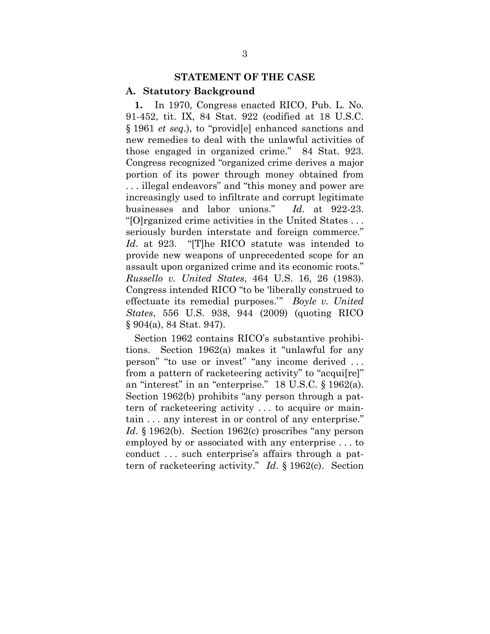### **STATEMENT OF THE CASE**

#### **A. Statutory Background**

**1.** In 1970, Congress enacted RICO, Pub. L. No. 91-452, tit. IX, 84 Stat. 922 (codified at 18 U.S.C. § 1961 *et seq*.), to "provid[e] enhanced sanctions and new remedies to deal with the unlawful activities of those engaged in organized crime." 84 Stat. 923. Congress recognized "organized crime derives a major portion of its power through money obtained from . . . illegal endeavors" and "this money and power are increasingly used to infiltrate and corrupt legitimate businesses and labor unions." *Id*. at 922-23. "[O]rganized crime activities in the United States . . . seriously burden interstate and foreign commerce." *Id*. at 923. "[T]he RICO statute was intended to provide new weapons of unprecedented scope for an assault upon organized crime and its economic roots." *Russello v. United States*, 464 U.S. 16, 26 (1983). Congress intended RICO "to be 'liberally construed to effectuate its remedial purposes.'" *Boyle v. United States*, 556 U.S. 938, 944 (2009) (quoting RICO § 904(a), 84 Stat. 947).

Section 1962 contains RICO's substantive prohibitions. Section 1962(a) makes it "unlawful for any person" "to use or invest" "any income derived . . . from a pattern of racketeering activity" to "acqui[re]" an "interest" in an "enterprise." 18 U.S.C. § 1962(a). Section 1962(b) prohibits "any person through a pattern of racketeering activity . . . to acquire or maintain . . . any interest in or control of any enterprise." *Id.* § 1962(b). Section 1962(c) proscribes "any person employed by or associated with any enterprise . . . to conduct . . . such enterprise's affairs through a pattern of racketeering activity." *Id*. § 1962(c). Section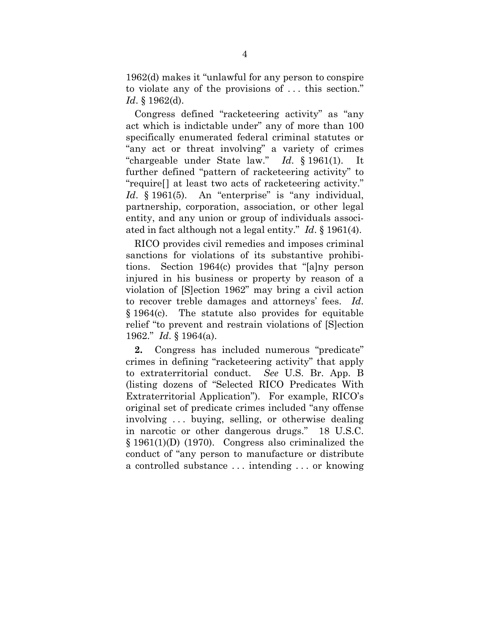1962(d) makes it "unlawful for any person to conspire to violate any of the provisions of . . . this section." *Id*. § 1962(d).

Congress defined "racketeering activity" as "any act which is indictable under" any of more than 100 specifically enumerated federal criminal statutes or "any act or threat involving" a variety of crimes "chargeable under State law." *Id*. § 1961(1). It further defined "pattern of racketeering activity" to "require[] at least two acts of racketeering activity." Id. § 1961(5). An "enterprise" is "any individual, partnership, corporation, association, or other legal entity, and any union or group of individuals associated in fact although not a legal entity." *Id*. § 1961(4).

RICO provides civil remedies and imposes criminal sanctions for violations of its substantive prohibitions. Section 1964(c) provides that "[a]ny person injured in his business or property by reason of a violation of [S]ection 1962" may bring a civil action to recover treble damages and attorneys' fees. *Id*. § 1964(c). The statute also provides for equitable relief "to prevent and restrain violations of [S]ection 1962." *Id*. § 1964(a).

**2.** Congress has included numerous "predicate" crimes in defining "racketeering activity" that apply to extraterritorial conduct. *See* U.S. Br. App. B (listing dozens of "Selected RICO Predicates With Extraterritorial Application"). For example, RICO's original set of predicate crimes included "any offense involving . . . buying, selling, or otherwise dealing in narcotic or other dangerous drugs." 18 U.S.C. § 1961(1)(D) (1970). Congress also criminalized the conduct of "any person to manufacture or distribute a controlled substance . . . intending . . . or knowing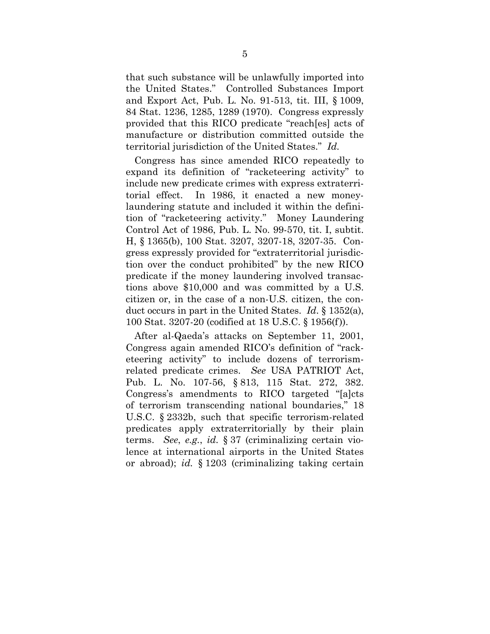that such substance will be unlawfully imported into the United States." Controlled Substances Import and Export Act, Pub. L. No. 91-513, tit. III, § 1009, 84 Stat. 1236, 1285, 1289 (1970). Congress expressly provided that this RICO predicate "reach[es] acts of manufacture or distribution committed outside the territorial jurisdiction of the United States." *Id.*

Congress has since amended RICO repeatedly to expand its definition of "racketeering activity" to include new predicate crimes with express extraterritorial effect. In 1986, it enacted a new moneylaundering statute and included it within the definition of "racketeering activity." Money Laundering Control Act of 1986, Pub. L. No. 99-570, tit. I, subtit. H, § 1365(b), 100 Stat. 3207, 3207-18, 3207-35. Congress expressly provided for "extraterritorial jurisdiction over the conduct prohibited" by the new RICO predicate if the money laundering involved transactions above \$10,000 and was committed by a U.S. citizen or, in the case of a non-U.S. citizen, the conduct occurs in part in the United States. *Id*. § 1352(a), 100 Stat. 3207-20 (codified at 18 U.S.C. § 1956(f)).

After al-Qaeda's attacks on September 11, 2001, Congress again amended RICO's definition of "racketeering activity" to include dozens of terrorismrelated predicate crimes. *See* USA PATRIOT Act, Pub. L. No. 107-56, § 813, 115 Stat. 272, 382. Congress's amendments to RICO targeted "[a]cts of terrorism transcending national boundaries," 18 U.S.C. § 2332b, such that specific terrorism-related predicates apply extraterritorially by their plain terms. *See*, *e.g.*, *id.* § 37 (criminalizing certain violence at international airports in the United States or abroad); *id.* § 1203 (criminalizing taking certain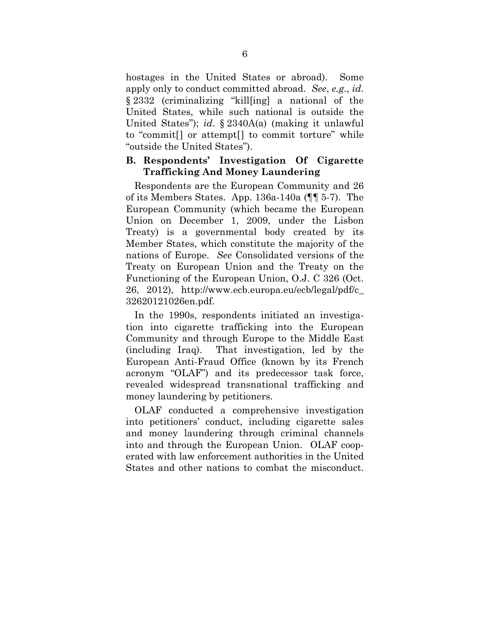hostages in the United States or abroad). Some apply only to conduct committed abroad. *See*, *e.g.*, *id*. § 2332 (criminalizing "kill[ing] a national of the United States, while such national is outside the United States"); *id*. § 2340A(a) (making it unlawful to "commit[] or attempt[] to commit torture" while "outside the United States").

## **B. Respondents' Investigation Of Cigarette Trafficking And Money Laundering**

Respondents are the European Community and 26 of its Members States. App. 136a-140a (¶¶ 5-7). The European Community (which became the European Union on December 1, 2009, under the Lisbon Treaty) is a governmental body created by its Member States, which constitute the majority of the nations of Europe. *See* Consolidated versions of the Treaty on European Union and the Treaty on the Functioning of the European Union, O.J. C 326 (Oct. 26, 2012), http://www.ecb.europa.eu/ecb/legal/pdf/c\_ 32620121026en.pdf.

In the 1990s, respondents initiated an investigation into cigarette trafficking into the European Community and through Europe to the Middle East (including Iraq). That investigation, led by the European Anti-Fraud Office (known by its French acronym "OLAF") and its predecessor task force, revealed widespread transnational trafficking and money laundering by petitioners.

OLAF conducted a comprehensive investigation into petitioners' conduct, including cigarette sales and money laundering through criminal channels into and through the European Union. OLAF cooperated with law enforcement authorities in the United States and other nations to combat the misconduct.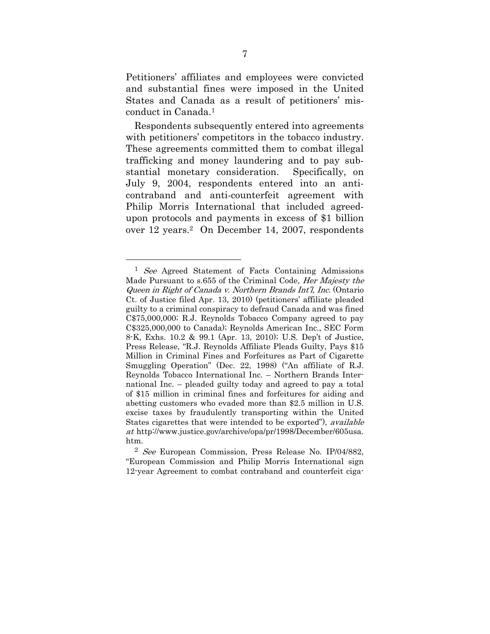Petitioners' affiliates and employees were convicted and substantial fines were imposed in the United States and Canada as a result of petitioners' misconduct in Canada.1

Respondents subsequently entered into agreements with petitioners' competitors in the tobacco industry. These agreements committed them to combat illegal trafficking and money laundering and to pay substantial monetary consideration. Specifically, on July 9, 2004, respondents entered into an anticontraband and anti-counterfeit agreement with Philip Morris International that included agreedupon protocols and payments in excess of \$1 billion over 12 years.2 On December 14, 2007, respondents

1

<sup>&</sup>lt;sup>1</sup> See Agreed Statement of Facts Containing Admissions Made Pursuant to s.655 of the Criminal Code, Her Majesty the Queen in Right of Canada v. Northern Brands Int'l, Inc. (Ontario Ct. of Justice filed Apr. 13, 2010) (petitioners' affiliate pleaded guilty to a criminal conspiracy to defraud Canada and was fined C\$75,000,000; R.J. Reynolds Tobacco Company agreed to pay C\$325,000,000 to Canada); Reynolds American Inc., SEC Form 8-K, Exhs. 10.2 & 99.1 (Apr. 13, 2010); U.S. Dep't of Justice, Press Release, "R.J. Reynolds Affiliate Pleads Guilty, Pays \$15 Million in Criminal Fines and Forfeitures as Part of Cigarette Smuggling Operation" (Dec. 22, 1998) ("An affiliate of R.J. Reynolds Tobacco International Inc. – Northern Brands International Inc. – pleaded guilty today and agreed to pay a total of \$15 million in criminal fines and forfeitures for aiding and abetting customers who evaded more than \$2.5 million in U.S. excise taxes by fraudulently transporting within the United States cigarettes that were intended to be exported"), *available* at http://www.justice.gov/archive/opa/pr/1998/December/605usa. htm.

<sup>2</sup> See European Commission, Press Release No. IP/04/882, "European Commission and Philip Morris International sign 12-year Agreement to combat contraband and counterfeit ciga-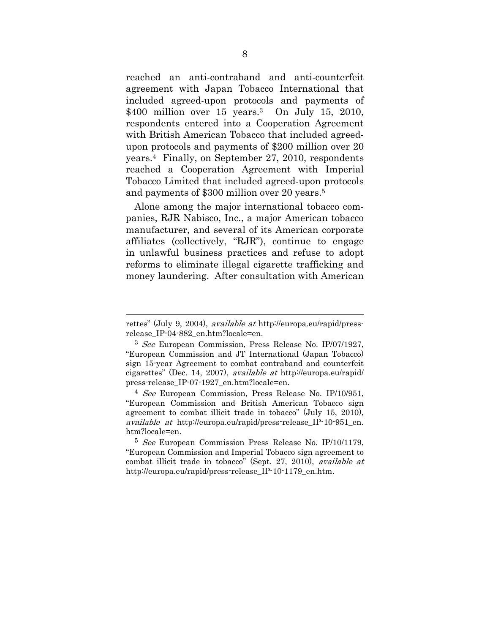reached an anti-contraband and anti-counterfeit agreement with Japan Tobacco International that included agreed-upon protocols and payments of \$400 million over 15 years.<sup>3</sup> On July 15, 2010, respondents entered into a Cooperation Agreement with British American Tobacco that included agreedupon protocols and payments of \$200 million over 20 years.4 Finally, on September 27, 2010, respondents reached a Cooperation Agreement with Imperial Tobacco Limited that included agreed-upon protocols and payments of \$300 million over 20 years.5

Alone among the major international tobacco companies, RJR Nabisco, Inc., a major American tobacco manufacturer, and several of its American corporate affiliates (collectively, "RJR"), continue to engage in unlawful business practices and refuse to adopt reforms to eliminate illegal cigarette trafficking and money laundering. After consultation with American

 $\overline{a}$ 

4 See European Commission, Press Release No. IP/10/951, "European Commission and British American Tobacco sign agreement to combat illicit trade in tobacco" (July 15, 2010), available at http://europa.eu/rapid/press-release\_IP-10-951\_en. htm?locale=en.

rettes" (July 9, 2004), available at http://europa.eu/rapid/pressrelease IP-04-882 en.htm?locale=en.

<sup>3</sup> See European Commission, Press Release No. IP/07/1927, "European Commission and JT International (Japan Tobacco) sign 15-year Agreement to combat contraband and counterfeit cigarettes" (Dec. 14, 2007), available at http://europa.eu/rapid/ press-release\_IP-07-1927\_en.htm?locale=en.

<sup>&</sup>lt;sup>5</sup> See European Commission Press Release No. IP/10/1179, "European Commission and Imperial Tobacco sign agreement to combat illicit trade in tobacco" (Sept. 27, 2010), available at http://europa.eu/rapid/press-release\_IP-10-1179\_en.htm.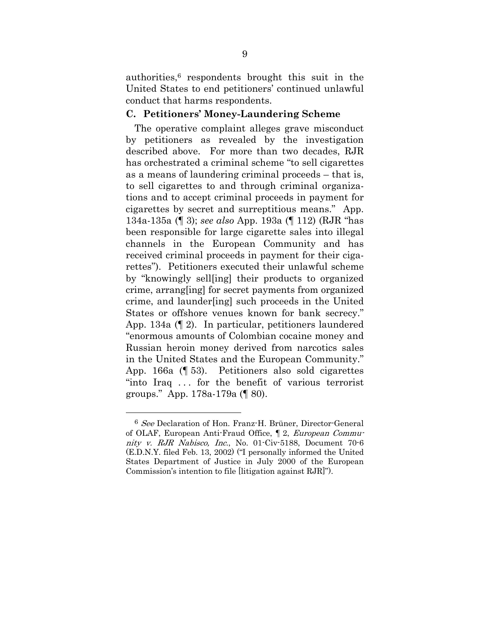authorities,6 respondents brought this suit in the United States to end petitioners' continued unlawful conduct that harms respondents.

#### **C. Petitioners' Money-Laundering Scheme**

The operative complaint alleges grave misconduct by petitioners as revealed by the investigation described above. For more than two decades, RJR has orchestrated a criminal scheme "to sell cigarettes as a means of laundering criminal proceeds – that is, to sell cigarettes to and through criminal organizations and to accept criminal proceeds in payment for cigarettes by secret and surreptitious means." App. 134a-135a (¶ 3); *see also* App. 193a (¶ 112) (RJR "has been responsible for large cigarette sales into illegal channels in the European Community and has received criminal proceeds in payment for their cigarettes"). Petitioners executed their unlawful scheme by "knowingly sell[ing] their products to organized crime, arrang[ing] for secret payments from organized crime, and launder[ing] such proceeds in the United States or offshore venues known for bank secrecy." App. 134a (¶ 2). In particular, petitioners laundered "enormous amounts of Colombian cocaine money and Russian heroin money derived from narcotics sales in the United States and the European Community." App. 166a (¶ 53). Petitioners also sold cigarettes "into Iraq . . . for the benefit of various terrorist groups." App. 178a-179a (¶ 80).

<u>.</u>

<sup>6</sup> See Declaration of Hon. Franz-H. Brüner, Director-General of OLAF, European Anti-Fraud Office, ¶ 2, European Community v. RJR Nabisco, Inc., No. 01-Civ-5188, Document 70-6 (E.D.N.Y. filed Feb. 13, 2002) ("I personally informed the United States Department of Justice in July 2000 of the European Commission's intention to file [litigation against RJR]").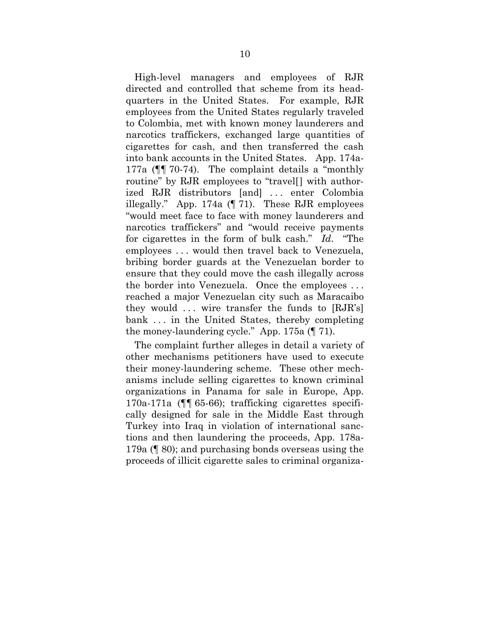High-level managers and employees of RJR directed and controlled that scheme from its headquarters in the United States. For example, RJR employees from the United States regularly traveled to Colombia, met with known money launderers and narcotics traffickers, exchanged large quantities of cigarettes for cash, and then transferred the cash into bank accounts in the United States. App. 174a-177a (¶¶ 70-74). The complaint details a "monthly routine" by RJR employees to "travel[] with authorized RJR distributors [and] ... enter Colombia illegally." App. 174a (¶ 71). These RJR employees "would meet face to face with money launderers and narcotics traffickers" and "would receive payments for cigarettes in the form of bulk cash." *Id*. "The employees . . . would then travel back to Venezuela, bribing border guards at the Venezuelan border to ensure that they could move the cash illegally across the border into Venezuela. Once the employees . . . reached a major Venezuelan city such as Maracaibo they would  $\ldots$  wire transfer the funds to [RJR's] bank . . . in the United States, thereby completing the money-laundering cycle." App. 175a (¶ 71).

The complaint further alleges in detail a variety of other mechanisms petitioners have used to execute their money-laundering scheme. These other mechanisms include selling cigarettes to known criminal organizations in Panama for sale in Europe, App. 170a-171a (¶¶ 65-66); trafficking cigarettes specifically designed for sale in the Middle East through Turkey into Iraq in violation of international sanctions and then laundering the proceeds, App. 178a-179a (¶ 80); and purchasing bonds overseas using the proceeds of illicit cigarette sales to criminal organiza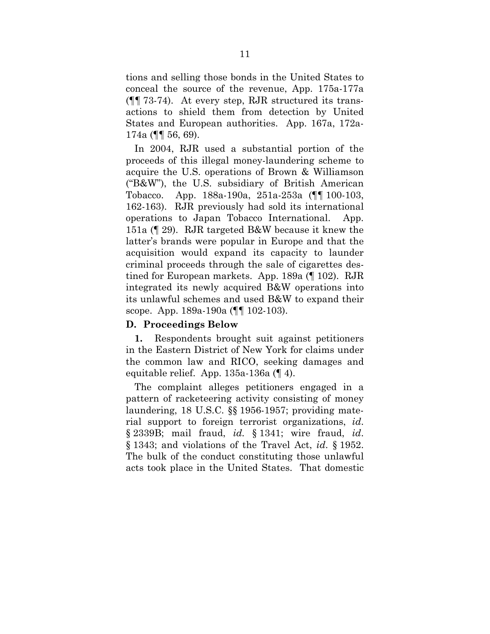tions and selling those bonds in the United States to conceal the source of the revenue, App. 175a-177a (¶¶ 73-74). At every step, RJR structured its transactions to shield them from detection by United States and European authorities. App. 167a, 172a-174a (¶¶ 56, 69).

In 2004, RJR used a substantial portion of the proceeds of this illegal money-laundering scheme to acquire the U.S. operations of Brown & Williamson ("B&W"), the U.S. subsidiary of British American Tobacco. App. 188a-190a, 251a-253a (¶¶ 100-103, 162-163). RJR previously had sold its international operations to Japan Tobacco International. App. 151a (¶ 29). RJR targeted B&W because it knew the latter's brands were popular in Europe and that the acquisition would expand its capacity to launder criminal proceeds through the sale of cigarettes destined for European markets. App. 189a (¶ 102). RJR integrated its newly acquired B&W operations into its unlawful schemes and used B&W to expand their scope. App. 189a-190a (¶¶ 102-103).

### **D. Proceedings Below**

**1.** Respondents brought suit against petitioners in the Eastern District of New York for claims under the common law and RICO, seeking damages and equitable relief. App. 135a-136a (¶ 4).

The complaint alleges petitioners engaged in a pattern of racketeering activity consisting of money laundering, 18 U.S.C. §§ 1956-1957; providing material support to foreign terrorist organizations, *id*. § 2339B; mail fraud, *id.* § 1341; wire fraud, *id*. § 1343; and violations of the Travel Act, *id*. § 1952. The bulk of the conduct constituting those unlawful acts took place in the United States. That domestic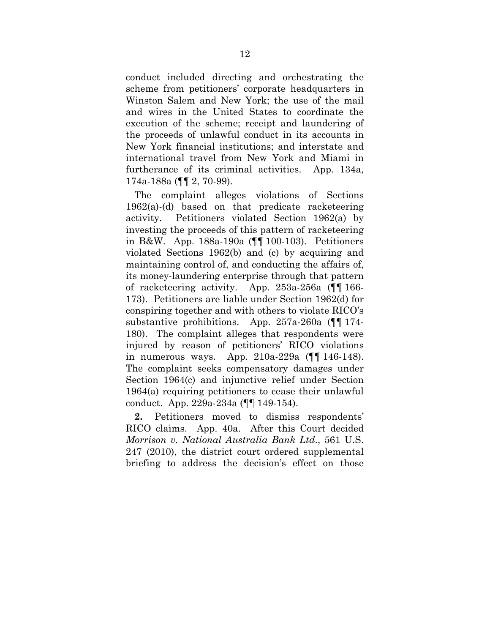conduct included directing and orchestrating the scheme from petitioners' corporate headquarters in Winston Salem and New York; the use of the mail and wires in the United States to coordinate the execution of the scheme; receipt and laundering of the proceeds of unlawful conduct in its accounts in New York financial institutions; and interstate and international travel from New York and Miami in furtherance of its criminal activities. App. 134a, 174a-188a (¶¶ 2, 70-99).

The complaint alleges violations of Sections 1962(a)-(d) based on that predicate racketeering activity. Petitioners violated Section 1962(a) by investing the proceeds of this pattern of racketeering in B&W. App. 188a-190a (¶¶ 100-103). Petitioners violated Sections 1962(b) and (c) by acquiring and maintaining control of, and conducting the affairs of, its money-laundering enterprise through that pattern of racketeering activity. App. 253a-256a (¶¶ 166- 173). Petitioners are liable under Section 1962(d) for conspiring together and with others to violate RICO's substantive prohibitions. App. 257a-260a (¶¶ 174- 180). The complaint alleges that respondents were injured by reason of petitioners' RICO violations in numerous ways. App. 210a-229a (¶¶ 146-148). The complaint seeks compensatory damages under Section 1964(c) and injunctive relief under Section 1964(a) requiring petitioners to cease their unlawful conduct. App. 229a-234a (¶¶ 149-154).

**2.** Petitioners moved to dismiss respondents' RICO claims. App. 40a. After this Court decided *Morrison v. National Australia Bank Ltd*., 561 U.S. 247 (2010), the district court ordered supplemental briefing to address the decision's effect on those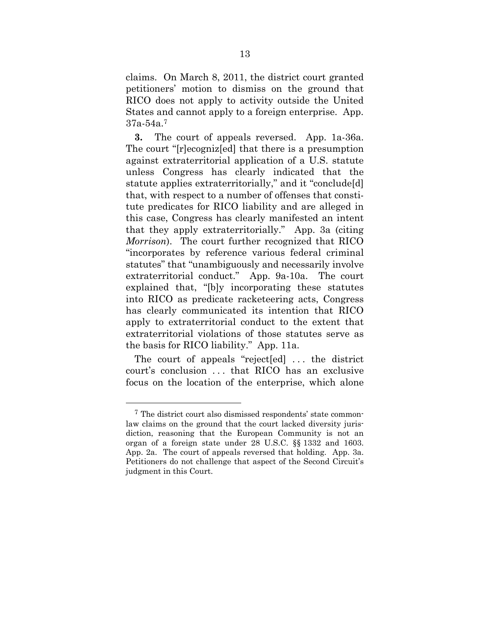claims. On March 8, 2011, the district court granted petitioners' motion to dismiss on the ground that RICO does not apply to activity outside the United States and cannot apply to a foreign enterprise. App. 37a-54a.7

**3.** The court of appeals reversed. App. 1a-36a. The court "[r]ecogniz[ed] that there is a presumption against extraterritorial application of a U.S. statute unless Congress has clearly indicated that the statute applies extraterritorially," and it "conclude[d] that, with respect to a number of offenses that constitute predicates for RICO liability and are alleged in this case, Congress has clearly manifested an intent that they apply extraterritorially." App. 3a (citing *Morrison*). The court further recognized that RICO "incorporates by reference various federal criminal statutes" that "unambiguously and necessarily involve extraterritorial conduct." App. 9a-10a. The court explained that, "[b]y incorporating these statutes into RICO as predicate racketeering acts, Congress has clearly communicated its intention that RICO apply to extraterritorial conduct to the extent that extraterritorial violations of those statutes serve as the basis for RICO liability." App. 11a.

The court of appeals "reject[ed] . . . the district court's conclusion . . . that RICO has an exclusive focus on the location of the enterprise, which alone

1

<sup>7</sup> The district court also dismissed respondents' state commonlaw claims on the ground that the court lacked diversity jurisdiction, reasoning that the European Community is not an organ of a foreign state under 28 U.S.C. §§ 1332 and 1603. App. 2a. The court of appeals reversed that holding. App. 3a. Petitioners do not challenge that aspect of the Second Circuit's judgment in this Court.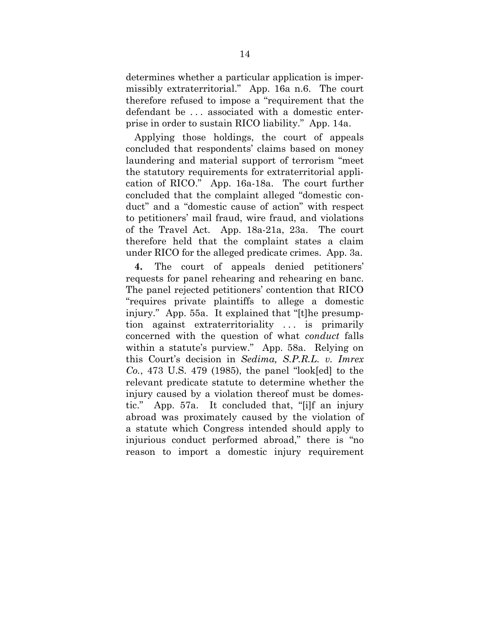determines whether a particular application is impermissibly extraterritorial." App. 16a n.6. The court therefore refused to impose a "requirement that the defendant be . . . associated with a domestic enterprise in order to sustain RICO liability." App. 14a.

Applying those holdings, the court of appeals concluded that respondents' claims based on money laundering and material support of terrorism "meet the statutory requirements for extraterritorial application of RICO." App. 16a-18a. The court further concluded that the complaint alleged "domestic conduct" and a "domestic cause of action" with respect to petitioners' mail fraud, wire fraud, and violations of the Travel Act. App. 18a-21a, 23a. The court therefore held that the complaint states a claim under RICO for the alleged predicate crimes. App. 3a.

**4.** The court of appeals denied petitioners' requests for panel rehearing and rehearing en banc. The panel rejected petitioners' contention that RICO "requires private plaintiffs to allege a domestic injury." App. 55a. It explained that "[t]he presumption against extraterritoriality . . . is primarily concerned with the question of what *conduct* falls within a statute's purview." App. 58a. Relying on this Court's decision in *Sedima, S.P.R.L. v. Imrex Co.*, 473 U.S. 479 (1985), the panel "look[ed] to the relevant predicate statute to determine whether the injury caused by a violation thereof must be domestic." App. 57a. It concluded that, "[i]f an injury abroad was proximately caused by the violation of a statute which Congress intended should apply to injurious conduct performed abroad," there is "no reason to import a domestic injury requirement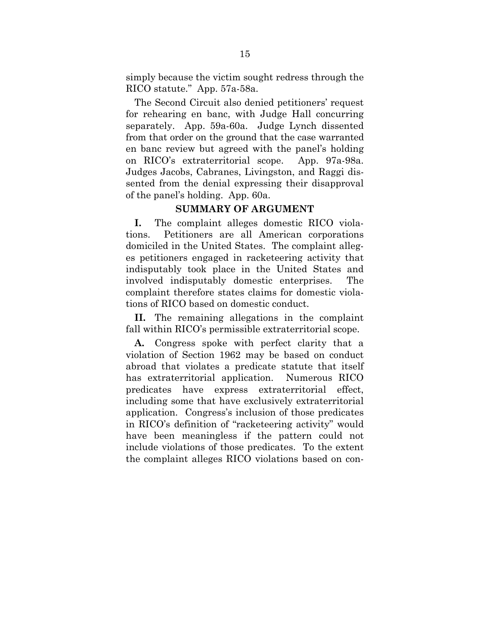simply because the victim sought redress through the RICO statute." App. 57a-58a.

The Second Circuit also denied petitioners' request for rehearing en banc, with Judge Hall concurring separately. App. 59a-60a. Judge Lynch dissented from that order on the ground that the case warranted en banc review but agreed with the panel's holding on RICO's extraterritorial scope. App. 97a-98a. Judges Jacobs, Cabranes, Livingston, and Raggi dissented from the denial expressing their disapproval of the panel's holding. App. 60a.

#### **SUMMARY OF ARGUMENT**

**I.** The complaint alleges domestic RICO violations. Petitioners are all American corporations domiciled in the United States. The complaint alleges petitioners engaged in racketeering activity that indisputably took place in the United States and involved indisputably domestic enterprises. The complaint therefore states claims for domestic violations of RICO based on domestic conduct.

**II.** The remaining allegations in the complaint fall within RICO's permissible extraterritorial scope.

**A.** Congress spoke with perfect clarity that a violation of Section 1962 may be based on conduct abroad that violates a predicate statute that itself has extraterritorial application. Numerous RICO predicates have express extraterritorial effect, including some that have exclusively extraterritorial application. Congress's inclusion of those predicates in RICO's definition of "racketeering activity" would have been meaningless if the pattern could not include violations of those predicates. To the extent the complaint alleges RICO violations based on con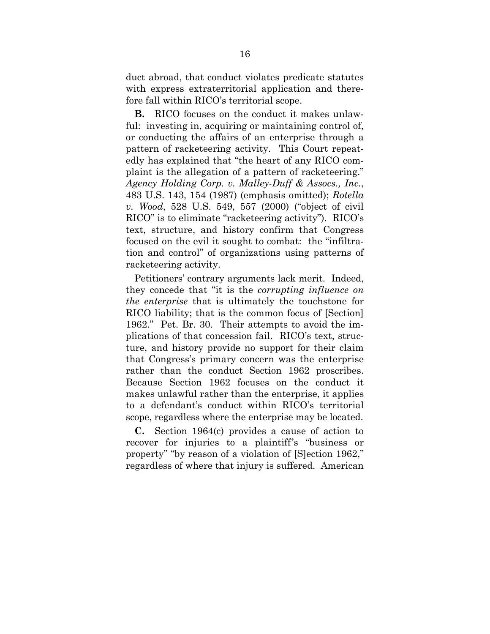duct abroad, that conduct violates predicate statutes with express extraterritorial application and therefore fall within RICO's territorial scope.

**B.** RICO focuses on the conduct it makes unlawful: investing in, acquiring or maintaining control of, or conducting the affairs of an enterprise through a pattern of racketeering activity. This Court repeatedly has explained that "the heart of any RICO complaint is the allegation of a pattern of racketeering." *Agency Holding Corp. v. Malley-Duff & Assocs., Inc.*, 483 U.S. 143, 154 (1987) (emphasis omitted); *Rotella v. Wood*, 528 U.S. 549, 557 (2000) ("object of civil RICO" is to eliminate "racketeering activity"). RICO's text, structure, and history confirm that Congress focused on the evil it sought to combat: the "infiltration and control" of organizations using patterns of racketeering activity.

Petitioners' contrary arguments lack merit. Indeed, they concede that "it is the *corrupting influence on the enterprise* that is ultimately the touchstone for RICO liability; that is the common focus of [Section] 1962." Pet. Br. 30. Their attempts to avoid the implications of that concession fail. RICO's text, structure, and history provide no support for their claim that Congress's primary concern was the enterprise rather than the conduct Section 1962 proscribes. Because Section 1962 focuses on the conduct it makes unlawful rather than the enterprise, it applies to a defendant's conduct within RICO's territorial scope, regardless where the enterprise may be located.

**C.** Section 1964(c) provides a cause of action to recover for injuries to a plaintiff's "business or property" "by reason of a violation of [S]ection 1962," regardless of where that injury is suffered. American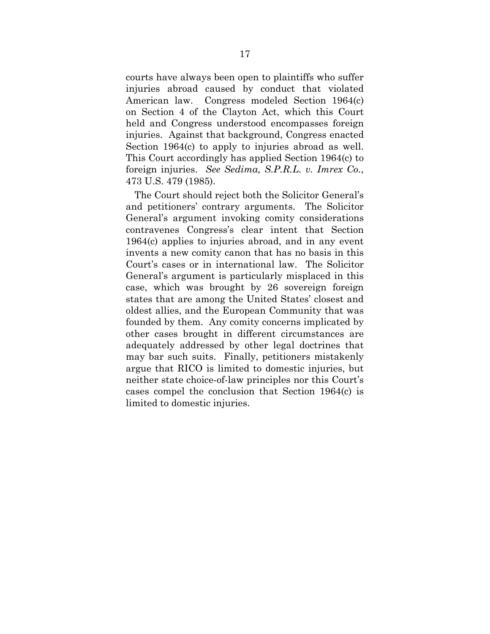courts have always been open to plaintiffs who suffer injuries abroad caused by conduct that violated American law. Congress modeled Section 1964(c) on Section 4 of the Clayton Act, which this Court held and Congress understood encompasses foreign injuries. Against that background, Congress enacted Section 1964(c) to apply to injuries abroad as well. This Court accordingly has applied Section 1964(c) to foreign injuries. *See Sedima, S.P.R.L. v. Imrex Co.*, 473 U.S. 479 (1985).

The Court should reject both the Solicitor General's and petitioners' contrary arguments. The Solicitor General's argument invoking comity considerations contravenes Congress's clear intent that Section 1964(c) applies to injuries abroad, and in any event invents a new comity canon that has no basis in this Court's cases or in international law. The Solicitor General's argument is particularly misplaced in this case, which was brought by 26 sovereign foreign states that are among the United States' closest and oldest allies, and the European Community that was founded by them. Any comity concerns implicated by other cases brought in different circumstances are adequately addressed by other legal doctrines that may bar such suits. Finally, petitioners mistakenly argue that RICO is limited to domestic injuries, but neither state choice-of-law principles nor this Court's cases compel the conclusion that Section 1964(c) is limited to domestic injuries.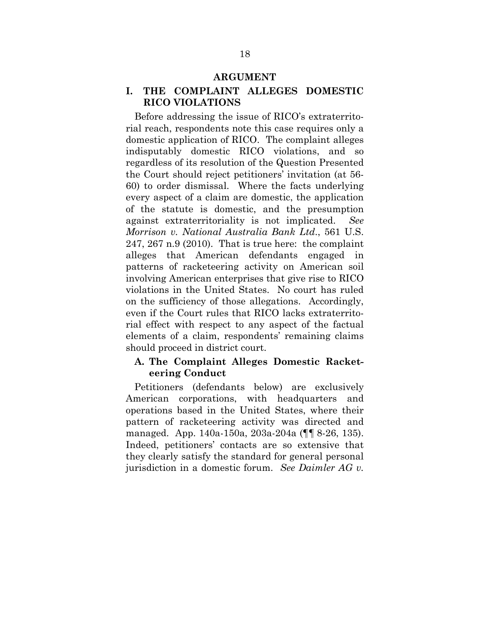#### **ARGUMENT**

## **I. THE COMPLAINT ALLEGES DOMESTIC RICO VIOLATIONS**

Before addressing the issue of RICO's extraterritorial reach, respondents note this case requires only a domestic application of RICO. The complaint alleges indisputably domestic RICO violations, and so regardless of its resolution of the Question Presented the Court should reject petitioners' invitation (at 56- 60) to order dismissal. Where the facts underlying every aspect of a claim are domestic, the application of the statute is domestic, and the presumption against extraterritoriality is not implicated. *See Morrison v. National Australia Bank Ltd*., 561 U.S. 247, 267 n.9 (2010). That is true here: the complaint alleges that American defendants engaged in patterns of racketeering activity on American soil involving American enterprises that give rise to RICO violations in the United States. No court has ruled on the sufficiency of those allegations. Accordingly, even if the Court rules that RICO lacks extraterritorial effect with respect to any aspect of the factual elements of a claim, respondents' remaining claims should proceed in district court.

### **A. The Complaint Alleges Domestic Racketeering Conduct**

Petitioners (defendants below) are exclusively American corporations, with headquarters and operations based in the United States, where their pattern of racketeering activity was directed and managed. App. 140a-150a, 203a-204a (¶¶ 8-26, 135). Indeed, petitioners' contacts are so extensive that they clearly satisfy the standard for general personal jurisdiction in a domestic forum. *See Daimler AG v.*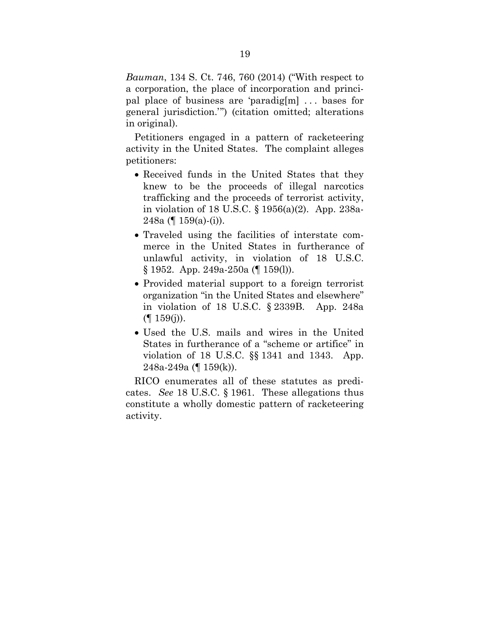*Bauman*, 134 S. Ct. 746, 760 (2014) ("With respect to a corporation, the place of incorporation and principal place of business are 'paradig[m] . . . bases for general jurisdiction.'") (citation omitted; alterations in original).

Petitioners engaged in a pattern of racketeering activity in the United States. The complaint alleges petitioners:

- Received funds in the United States that they knew to be the proceeds of illegal narcotics trafficking and the proceeds of terrorist activity, in violation of 18 U.S.C. § 1956(a)(2). App. 238a-248a (¶ 159(a)-(i)).
- Traveled using the facilities of interstate commerce in the United States in furtherance of unlawful activity, in violation of 18 U.S.C. § 1952. App. 249a-250a (¶ 159(l)).
- Provided material support to a foreign terrorist organization "in the United States and elsewhere" in violation of 18 U.S.C. § 2339B. App. 248a  $($ | 159(j)).
- Used the U.S. mails and wires in the United States in furtherance of a "scheme or artifice" in violation of 18 U.S.C. §§ 1341 and 1343. App. 248a-249a (¶ 159(k)).

RICO enumerates all of these statutes as predicates. *See* 18 U.S.C. § 1961. These allegations thus constitute a wholly domestic pattern of racketeering activity.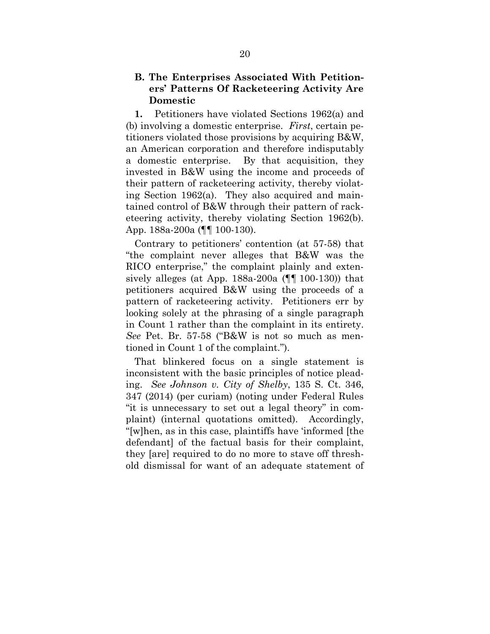## **B. The Enterprises Associated With Petitioners' Patterns Of Racketeering Activity Are Domestic**

**1.** Petitioners have violated Sections 1962(a) and (b) involving a domestic enterprise. *First*, certain petitioners violated those provisions by acquiring B&W, an American corporation and therefore indisputably a domestic enterprise. By that acquisition, they invested in B&W using the income and proceeds of their pattern of racketeering activity, thereby violating Section 1962(a). They also acquired and maintained control of B&W through their pattern of racketeering activity, thereby violating Section 1962(b). App. 188a-200a (¶¶ 100-130).

Contrary to petitioners' contention (at 57-58) that "the complaint never alleges that B&W was the RICO enterprise," the complaint plainly and extensively alleges (at App. 188a-200a  $(\P\P 100-130)$ ) that petitioners acquired B&W using the proceeds of a pattern of racketeering activity. Petitioners err by looking solely at the phrasing of a single paragraph in Count 1 rather than the complaint in its entirety. *See* Pet. Br. 57-58 ("B&W is not so much as mentioned in Count 1 of the complaint.").

That blinkered focus on a single statement is inconsistent with the basic principles of notice pleading. *See Johnson v. City of Shelby*, 135 S. Ct. 346, 347 (2014) (per curiam) (noting under Federal Rules "it is unnecessary to set out a legal theory" in complaint) (internal quotations omitted). Accordingly, "[w]hen, as in this case, plaintiffs have 'informed [the defendant] of the factual basis for their complaint, they [are] required to do no more to stave off threshold dismissal for want of an adequate statement of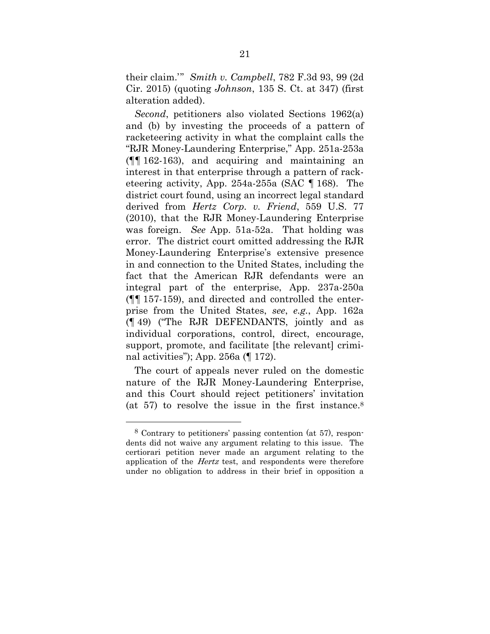their claim.'" *Smith v. Campbell*, 782 F.3d 93, 99 (2d Cir. 2015) (quoting *Johnson*, 135 S. Ct. at 347) (first alteration added).

*Second*, petitioners also violated Sections 1962(a) and (b) by investing the proceeds of a pattern of racketeering activity in what the complaint calls the "RJR Money-Laundering Enterprise," App. 251a-253a (¶¶ 162-163), and acquiring and maintaining an interest in that enterprise through a pattern of racketeering activity, App. 254a-255a (SAC ¶ 168). The district court found, using an incorrect legal standard derived from *Hertz Corp. v. Friend*, 559 U.S. 77 (2010), that the RJR Money-Laundering Enterprise was foreign. *See* App. 51a-52a. That holding was error. The district court omitted addressing the RJR Money-Laundering Enterprise's extensive presence in and connection to the United States, including the fact that the American RJR defendants were an integral part of the enterprise, App. 237a-250a (¶¶ 157-159), and directed and controlled the enterprise from the United States, *see*, *e.g.*, App. 162a (¶ 49) ("The RJR DEFENDANTS, jointly and as individual corporations, control, direct, encourage, support, promote, and facilitate [the relevant] criminal activities"); App. 256a (¶ 172).

The court of appeals never ruled on the domestic nature of the RJR Money-Laundering Enterprise, and this Court should reject petitioners' invitation (at 57) to resolve the issue in the first instance.8

1

<sup>8</sup> Contrary to petitioners' passing contention (at 57), respondents did not waive any argument relating to this issue. The certiorari petition never made an argument relating to the application of the *Hertz* test, and respondents were therefore under no obligation to address in their brief in opposition a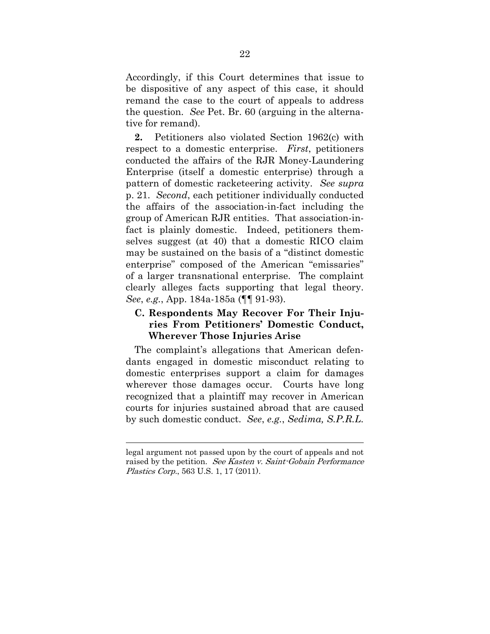Accordingly, if this Court determines that issue to be dispositive of any aspect of this case, it should remand the case to the court of appeals to address the question. *See* Pet. Br. 60 (arguing in the alternative for remand).

**2.** Petitioners also violated Section 1962(c) with respect to a domestic enterprise. *First*, petitioners conducted the affairs of the RJR Money-Laundering Enterprise (itself a domestic enterprise) through a pattern of domestic racketeering activity. *See supra* p. 21. *Second*, each petitioner individually conducted the affairs of the association-in-fact including the group of American RJR entities. That association-infact is plainly domestic. Indeed, petitioners themselves suggest (at 40) that a domestic RICO claim may be sustained on the basis of a "distinct domestic enterprise" composed of the American "emissaries" of a larger transnational enterprise. The complaint clearly alleges facts supporting that legal theory. *See*, *e.g.*, App. 184a-185a (¶¶ 91-93).

## **C. Respondents May Recover For Their Injuries From Petitioners' Domestic Conduct, Wherever Those Injuries Arise**

The complaint's allegations that American defendants engaged in domestic misconduct relating to domestic enterprises support a claim for damages wherever those damages occur. Courts have long recognized that a plaintiff may recover in American courts for injuries sustained abroad that are caused by such domestic conduct. *See*, *e.g.*, *Sedima, S.P.R.L.* 

 $\overline{a}$ 

legal argument not passed upon by the court of appeals and not raised by the petition. See Kasten v. Saint-Gobain Performance Plastics Corp., 563 U.S. 1, 17 (2011).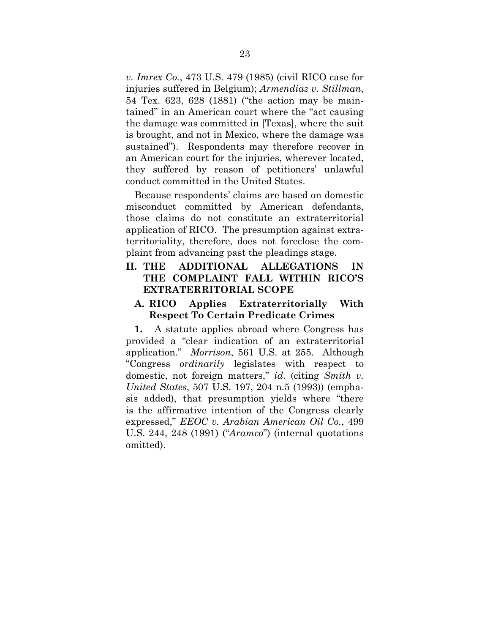*v. Imrex Co.*, 473 U.S. 479 (1985) (civil RICO case for injuries suffered in Belgium); *Armendiaz v. Stillman*, 54 Tex. 623, 628 (1881) ("the action may be maintained" in an American court where the "act causing the damage was committed in [Texas], where the suit is brought, and not in Mexico, where the damage was sustained"). Respondents may therefore recover in an American court for the injuries, wherever located, they suffered by reason of petitioners' unlawful conduct committed in the United States.

Because respondents' claims are based on domestic misconduct committed by American defendants, those claims do not constitute an extraterritorial application of RICO. The presumption against extraterritoriality, therefore, does not foreclose the complaint from advancing past the pleadings stage.

# **II. THE ADDITIONAL ALLEGATIONS IN THE COMPLAINT FALL WITHIN RICO'S EXTRATERRITORIAL SCOPE**

### **A. RICO Applies Extraterritorially With Respect To Certain Predicate Crimes**

**1.** A statute applies abroad where Congress has provided a "clear indication of an extraterritorial application." *Morrison*, 561 U.S. at 255. Although "Congress *ordinarily* legislates with respect to domestic, not foreign matters," *id*. (citing *Smith v. United States*, 507 U.S. 197, 204 n.5 (1993)) (emphasis added), that presumption yields where "there is the affirmative intention of the Congress clearly expressed," *EEOC v. Arabian American Oil Co.*, 499 U.S. 244, 248 (1991) ("*Aramco*") (internal quotations omitted).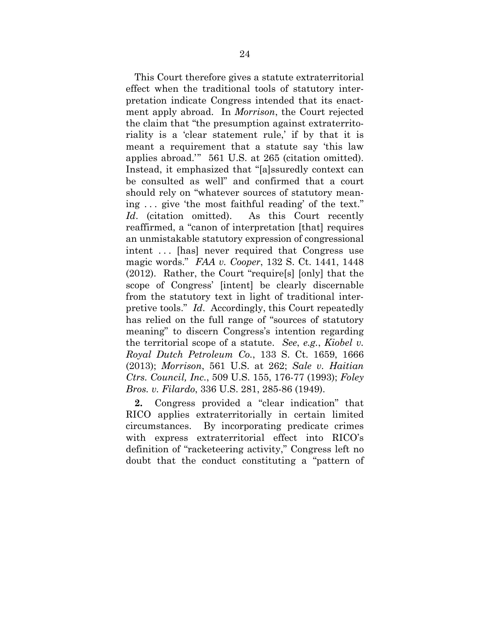This Court therefore gives a statute extraterritorial effect when the traditional tools of statutory interpretation indicate Congress intended that its enactment apply abroad. In *Morrison*, the Court rejected the claim that "the presumption against extraterritoriality is a 'clear statement rule,' if by that it is meant a requirement that a statute say 'this law applies abroad.'" 561 U.S. at 265 (citation omitted). Instead, it emphasized that "[a]ssuredly context can be consulted as well" and confirmed that a court should rely on "whatever sources of statutory meaning . . . give 'the most faithful reading' of the text." Id. (citation omitted). As this Court recently reaffirmed, a "canon of interpretation [that] requires an unmistakable statutory expression of congressional intent ... [has] never required that Congress use magic words." *FAA v. Cooper*, 132 S. Ct. 1441, 1448 (2012). Rather, the Court "require[s] [only] that the scope of Congress' [intent] be clearly discernable from the statutory text in light of traditional interpretive tools." *Id*. Accordingly, this Court repeatedly has relied on the full range of "sources of statutory meaning" to discern Congress's intention regarding the territorial scope of a statute. *See*, *e.g.*, *Kiobel v. Royal Dutch Petroleum Co.*, 133 S. Ct. 1659, 1666 (2013); *Morrison*, 561 U.S. at 262; *Sale v. Haitian Ctrs. Council, Inc.*, 509 U.S. 155, 176-77 (1993); *Foley Bros. v. Filardo*, 336 U.S. 281, 285-86 (1949).

**2.** Congress provided a "clear indication" that RICO applies extraterritorially in certain limited circumstances. By incorporating predicate crimes with express extraterritorial effect into RICO's definition of "racketeering activity," Congress left no doubt that the conduct constituting a "pattern of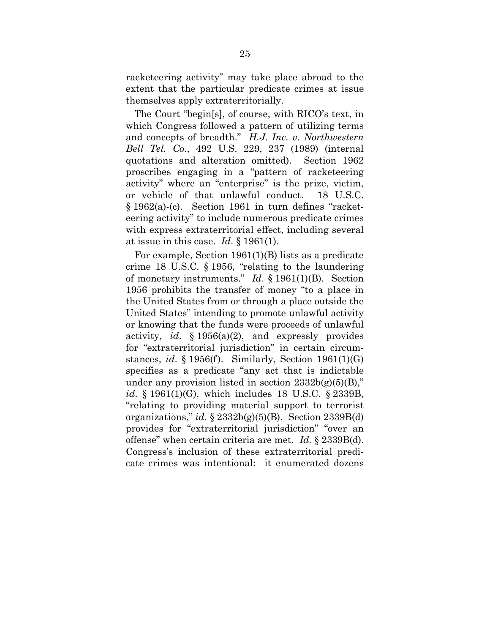racketeering activity" may take place abroad to the extent that the particular predicate crimes at issue themselves apply extraterritorially.

The Court "begin[s], of course, with RICO's text, in which Congress followed a pattern of utilizing terms and concepts of breadth." *H.J. Inc. v. Northwestern Bell Tel. Co.*, 492 U.S. 229, 237 (1989) (internal quotations and alteration omitted). Section 1962 proscribes engaging in a "pattern of racketeering activity" where an "enterprise" is the prize, victim, or vehicle of that unlawful conduct. 18 U.S.C. § 1962(a)-(c). Section 1961 in turn defines "racketeering activity" to include numerous predicate crimes with express extraterritorial effect, including several at issue in this case. *Id*. § 1961(1).

For example, Section 1961(1)(B) lists as a predicate crime 18 U.S.C. § 1956, "relating to the laundering of monetary instruments." *Id*. § 1961(1)(B). Section 1956 prohibits the transfer of money "to a place in the United States from or through a place outside the United States" intending to promote unlawful activity or knowing that the funds were proceeds of unlawful activity, *id*. § 1956(a)(2), and expressly provides for "extraterritorial jurisdiction" in certain circumstances, *id*. § 1956(f). Similarly, Section 1961(1)(G) specifies as a predicate "any act that is indictable under any provision listed in section  $2332b(g)(5)(B)$ ," *id*. § 1961(1)(G), which includes 18 U.S.C. § 2339B, "relating to providing material support to terrorist organizations," *id*. § 2332b(g)(5)(B). Section 2339B(d) provides for "extraterritorial jurisdiction" "over an offense" when certain criteria are met. *Id*. § 2339B(d). Congress's inclusion of these extraterritorial predicate crimes was intentional: it enumerated dozens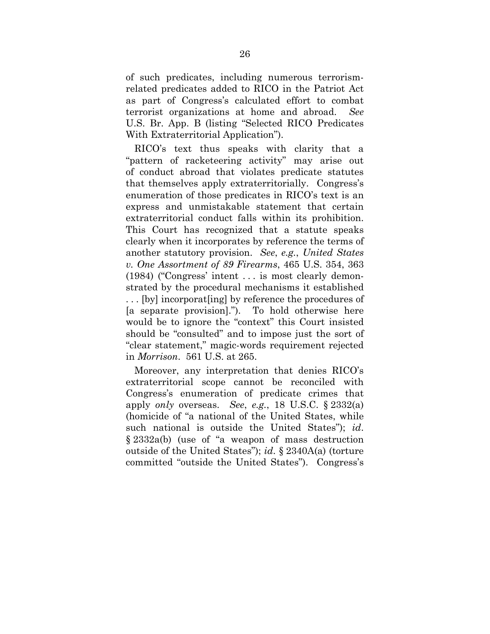of such predicates, including numerous terrorismrelated predicates added to RICO in the Patriot Act as part of Congress's calculated effort to combat terrorist organizations at home and abroad. *See*  U.S. Br. App. B (listing "Selected RICO Predicates With Extraterritorial Application").

RICO's text thus speaks with clarity that a "pattern of racketeering activity" may arise out of conduct abroad that violates predicate statutes that themselves apply extraterritorially. Congress's enumeration of those predicates in RICO's text is an express and unmistakable statement that certain extraterritorial conduct falls within its prohibition. This Court has recognized that a statute speaks clearly when it incorporates by reference the terms of another statutory provision. *See*, *e.g.*, *United States v. One Assortment of 89 Firearms*, 465 U.S. 354, 363 (1984) ("Congress' intent . . . is most clearly demonstrated by the procedural mechanisms it established . . . [by] incorporat[ing] by reference the procedures of [a separate provision]."). To hold otherwise here would be to ignore the "context" this Court insisted should be "consulted" and to impose just the sort of "clear statement," magic-words requirement rejected in *Morrison*. 561 U.S. at 265.

Moreover, any interpretation that denies RICO's extraterritorial scope cannot be reconciled with Congress's enumeration of predicate crimes that apply *only* overseas. *See*, *e.g.*, 18 U.S.C. § 2332(a) (homicide of "a national of the United States, while such national is outside the United States"); *id*. § 2332a(b) (use of "a weapon of mass destruction outside of the United States"); *id*. § 2340A(a) (torture committed "outside the United States"). Congress's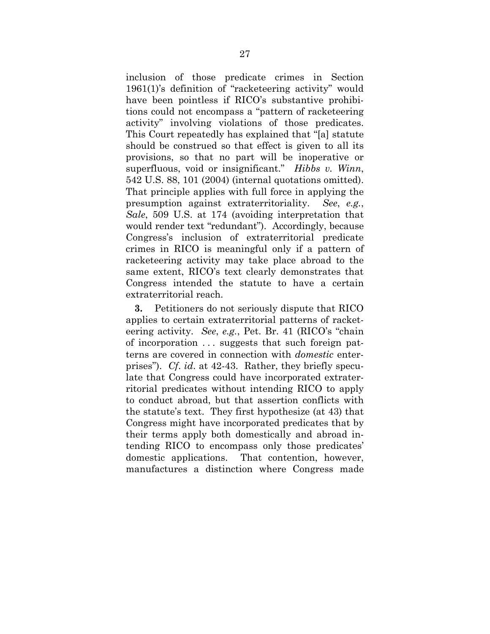inclusion of those predicate crimes in Section 1961(1)'s definition of "racketeering activity" would have been pointless if RICO's substantive prohibitions could not encompass a "pattern of racketeering activity" involving violations of those predicates. This Court repeatedly has explained that "[a] statute should be construed so that effect is given to all its provisions, so that no part will be inoperative or superfluous, void or insignificant." *Hibbs v. Winn*, 542 U.S. 88, 101 (2004) (internal quotations omitted). That principle applies with full force in applying the presumption against extraterritoriality. *See*, *e.g.*, *Sale*, 509 U.S. at 174 (avoiding interpretation that would render text "redundant"). Accordingly, because Congress's inclusion of extraterritorial predicate crimes in RICO is meaningful only if a pattern of racketeering activity may take place abroad to the same extent, RICO's text clearly demonstrates that Congress intended the statute to have a certain extraterritorial reach.

**3.** Petitioners do not seriously dispute that RICO applies to certain extraterritorial patterns of racketeering activity. *See*, *e.g.*, Pet. Br. 41 (RICO's "chain of incorporation . . . suggests that such foreign patterns are covered in connection with *domestic* enterprises"). *Cf*. *id*. at 42-43. Rather, they briefly speculate that Congress could have incorporated extraterritorial predicates without intending RICO to apply to conduct abroad, but that assertion conflicts with the statute's text. They first hypothesize (at 43) that Congress might have incorporated predicates that by their terms apply both domestically and abroad intending RICO to encompass only those predicates' domestic applications. That contention, however, manufactures a distinction where Congress made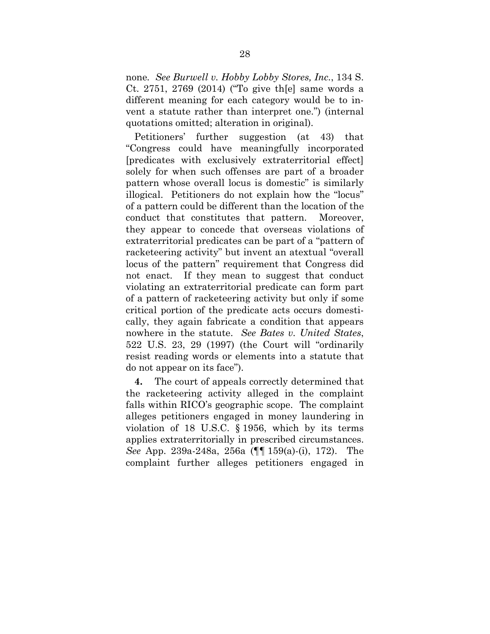none*. See Burwell v. Hobby Lobby Stores, Inc.*, 134 S. Ct. 2751, 2769 (2014) ("To give th[e] same words a different meaning for each category would be to invent a statute rather than interpret one.") (internal quotations omitted; alteration in original).

Petitioners' further suggestion (at 43) that "Congress could have meaningfully incorporated [predicates with exclusively extraterritorial effect] solely for when such offenses are part of a broader pattern whose overall locus is domestic" is similarly illogical. Petitioners do not explain how the "locus" of a pattern could be different than the location of the conduct that constitutes that pattern. Moreover, they appear to concede that overseas violations of extraterritorial predicates can be part of a "pattern of racketeering activity" but invent an atextual "overall locus of the pattern" requirement that Congress did not enact. If they mean to suggest that conduct violating an extraterritorial predicate can form part of a pattern of racketeering activity but only if some critical portion of the predicate acts occurs domestically, they again fabricate a condition that appears nowhere in the statute. *See Bates v. United States*, 522 U.S. 23, 29 (1997) (the Court will "ordinarily resist reading words or elements into a statute that do not appear on its face").

**4.** The court of appeals correctly determined that the racketeering activity alleged in the complaint falls within RICO's geographic scope. The complaint alleges petitioners engaged in money laundering in violation of 18 U.S.C. § 1956, which by its terms applies extraterritorially in prescribed circumstances. *See* App. 239a-248a, 256a (¶¶ 159(a)-(i), 172). The complaint further alleges petitioners engaged in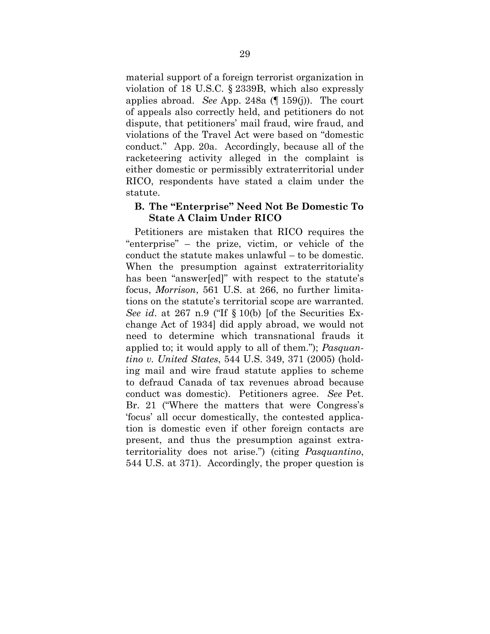material support of a foreign terrorist organization in violation of 18 U.S.C. § 2339B, which also expressly applies abroad. *See* App. 248a (¶ 159(j)). The court of appeals also correctly held, and petitioners do not dispute, that petitioners' mail fraud, wire fraud, and violations of the Travel Act were based on "domestic conduct." App. 20a. Accordingly, because all of the racketeering activity alleged in the complaint is either domestic or permissibly extraterritorial under RICO, respondents have stated a claim under the statute.

#### **B. The "Enterprise" Need Not Be Domestic To State A Claim Under RICO**

Petitioners are mistaken that RICO requires the "enterprise" – the prize, victim, or vehicle of the conduct the statute makes unlawful – to be domestic. When the presumption against extraterritoriality has been "answer[ed]" with respect to the statute's focus, *Morrison*, 561 U.S. at 266, no further limitations on the statute's territorial scope are warranted. *See id*. at 267 n.9 ("If § 10(b) [of the Securities Exchange Act of 1934] did apply abroad, we would not need to determine which transnational frauds it applied to; it would apply to all of them."); *Pasquantino v. United States*, 544 U.S. 349, 371 (2005) (holding mail and wire fraud statute applies to scheme to defraud Canada of tax revenues abroad because conduct was domestic). Petitioners agree. *See* Pet. Br. 21 ("Where the matters that were Congress's 'focus' all occur domestically, the contested application is domestic even if other foreign contacts are present, and thus the presumption against extraterritoriality does not arise.") (citing *Pasquantino*, 544 U.S. at 371). Accordingly, the proper question is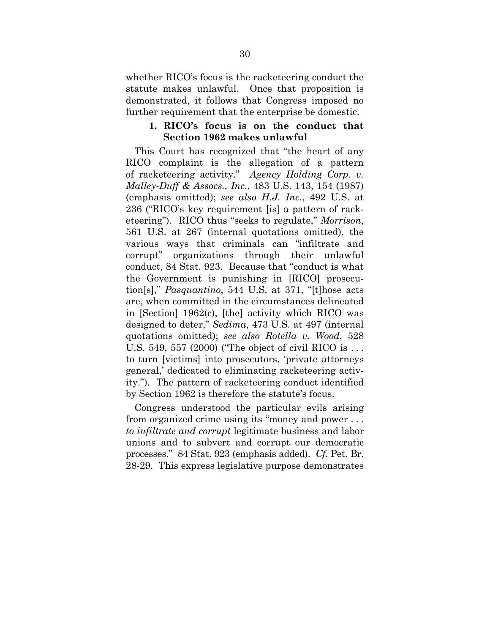whether RICO's focus is the racketeering conduct the statute makes unlawful. Once that proposition is demonstrated, it follows that Congress imposed no further requirement that the enterprise be domestic.

### **1. RICO's focus is on the conduct that Section 1962 makes unlawful**

This Court has recognized that "the heart of any RICO complaint is the allegation of a pattern of racketeering activity." *Agency Holding Corp. v. Malley-Duff & Assocs., Inc.*, 483 U.S. 143, 154 (1987) (emphasis omitted); *see also H.J. Inc.*, 492 U.S. at 236 ("RICO's key requirement [is] a pattern of racketeering"). RICO thus "seeks to regulate," *Morrison*, 561 U.S. at 267 (internal quotations omitted), the various ways that criminals can "infiltrate and corrupt" organizations through their unlawful conduct, 84 Stat. 923. Because that "conduct is what the Government is punishing in [RICO] prosecution[s]," *Pasquantino*, 544 U.S. at 371, "[t]hose acts are, when committed in the circumstances delineated in [Section] 1962(c), [the] activity which RICO was designed to deter," *Sedima*, 473 U.S. at 497 (internal quotations omitted); *see also Rotella v. Wood*, 528 U.S. 549, 557 (2000) ("The object of civil RICO is . . . to turn [victims] into prosecutors, 'private attorneys general,' dedicated to eliminating racketeering activity."). The pattern of racketeering conduct identified by Section 1962 is therefore the statute's focus.

Congress understood the particular evils arising from organized crime using its "money and power . . . *to infiltrate and corrupt* legitimate business and labor unions and to subvert and corrupt our democratic processes." 84 Stat. 923 (emphasis added). *Cf*. Pet. Br. 28-29. This express legislative purpose demonstrates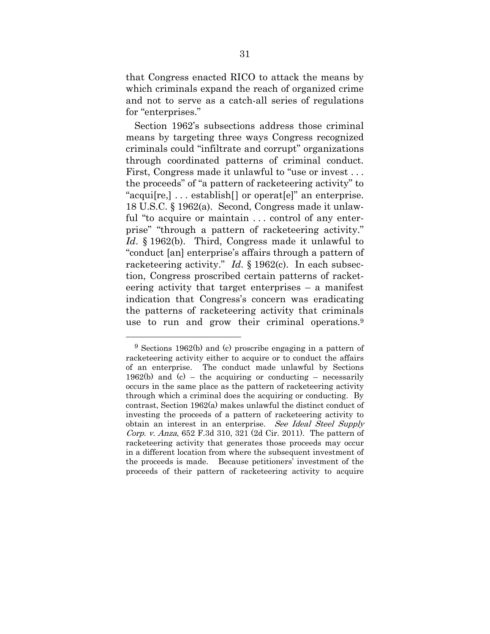that Congress enacted RICO to attack the means by which criminals expand the reach of organized crime and not to serve as a catch-all series of regulations for "enterprises."

Section 1962's subsections address those criminal means by targeting three ways Congress recognized criminals could "infiltrate and corrupt" organizations through coordinated patterns of criminal conduct. First, Congress made it unlawful to "use or invest . . . the proceeds" of "a pattern of racketeering activity" to "acqui[re,]... establish[] or operat[e]" an enterprise. 18 U.S.C. § 1962(a). Second, Congress made it unlawful "to acquire or maintain ... control of any enterprise" "through a pattern of racketeering activity." *Id*. § 1962(b). Third, Congress made it unlawful to "conduct [an] enterprise's affairs through a pattern of racketeering activity." *Id*. § 1962(c). In each subsection, Congress proscribed certain patterns of racketeering activity that target enterprises – a manifest indication that Congress's concern was eradicating the patterns of racketeering activity that criminals use to run and grow their criminal operations.<sup>9</sup>

1

<sup>9</sup> Sections 1962(b) and (c) proscribe engaging in a pattern of racketeering activity either to acquire or to conduct the affairs of an enterprise. The conduct made unlawful by Sections 1962(b) and  $(c)$  – the acquiring or conducting – necessarily occurs in the same place as the pattern of racketeering activity through which a criminal does the acquiring or conducting. By contrast, Section 1962(a) makes unlawful the distinct conduct of investing the proceeds of a pattern of racketeering activity to obtain an interest in an enterprise. See Ideal Steel Supply Corp. v. Anza, 652 F.3d 310, 321 (2d Cir. 2011). The pattern of racketeering activity that generates those proceeds may occur in a different location from where the subsequent investment of the proceeds is made. Because petitioners' investment of the proceeds of their pattern of racketeering activity to acquire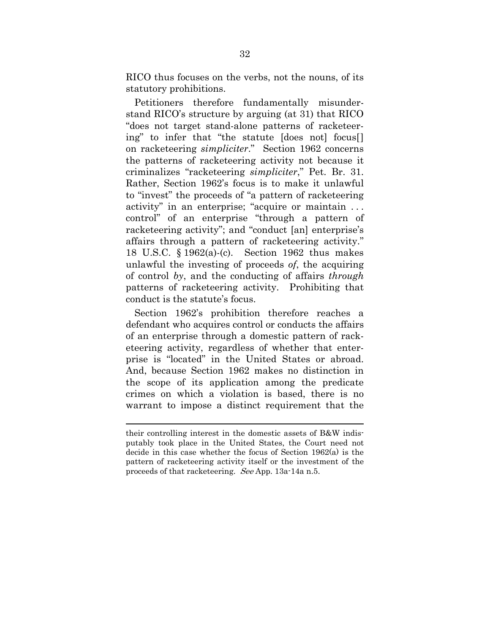RICO thus focuses on the verbs, not the nouns, of its statutory prohibitions.

Petitioners therefore fundamentally misunderstand RICO's structure by arguing (at 31) that RICO "does not target stand-alone patterns of racketeering" to infer that "the statute [does not] focus[] on racketeering *simpliciter*." Section 1962 concerns the patterns of racketeering activity not because it criminalizes "racketeering *simpliciter*," Pet. Br. 31. Rather, Section 1962's focus is to make it unlawful to "invest" the proceeds of "a pattern of racketeering activity" in an enterprise; "acquire or maintain . . . control" of an enterprise "through a pattern of racketeering activity"; and "conduct [an] enterprise's affairs through a pattern of racketeering activity." 18 U.S.C. § 1962(a)-(c). Section 1962 thus makes unlawful the investing of proceeds *of*, the acquiring of control *by*, and the conducting of affairs *through* patterns of racketeering activity. Prohibiting that conduct is the statute's focus.

Section 1962's prohibition therefore reaches a defendant who acquires control or conducts the affairs of an enterprise through a domestic pattern of racketeering activity, regardless of whether that enterprise is "located" in the United States or abroad. And, because Section 1962 makes no distinction in the scope of its application among the predicate crimes on which a violation is based, there is no warrant to impose a distinct requirement that the

 $\overline{a}$ 

their controlling interest in the domestic assets of B&W indisputably took place in the United States, the Court need not decide in this case whether the focus of Section 1962(a) is the pattern of racketeering activity itself or the investment of the proceeds of that racketeering. See App. 13a-14a n.5.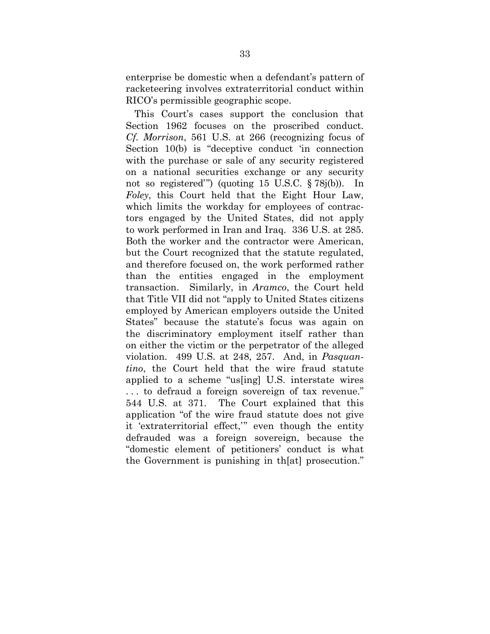enterprise be domestic when a defendant's pattern of racketeering involves extraterritorial conduct within RICO's permissible geographic scope.

This Court's cases support the conclusion that Section 1962 focuses on the proscribed conduct. *Cf. Morrison*, 561 U.S. at 266 (recognizing focus of Section 10(b) is "deceptive conduct 'in connection with the purchase or sale of any security registered on a national securities exchange or any security not so registered'") (quoting 15 U.S.C. § 78j(b)). In *Foley*, this Court held that the Eight Hour Law, which limits the workday for employees of contractors engaged by the United States, did not apply to work performed in Iran and Iraq. 336 U.S. at 285. Both the worker and the contractor were American, but the Court recognized that the statute regulated, and therefore focused on, the work performed rather than the entities engaged in the employment transaction. Similarly, in *Aramco*, the Court held that Title VII did not "apply to United States citizens employed by American employers outside the United States" because the statute's focus was again on the discriminatory employment itself rather than on either the victim or the perpetrator of the alleged violation. 499 U.S. at 248, 257. And, in *Pasquantino*, the Court held that the wire fraud statute applied to a scheme "us[ing] U.S. interstate wires . . . to defraud a foreign sovereign of tax revenue." 544 U.S. at 371. The Court explained that this application "of the wire fraud statute does not give it 'extraterritorial effect,'" even though the entity defrauded was a foreign sovereign, because the "domestic element of petitioners' conduct is what the Government is punishing in th[at] prosecution."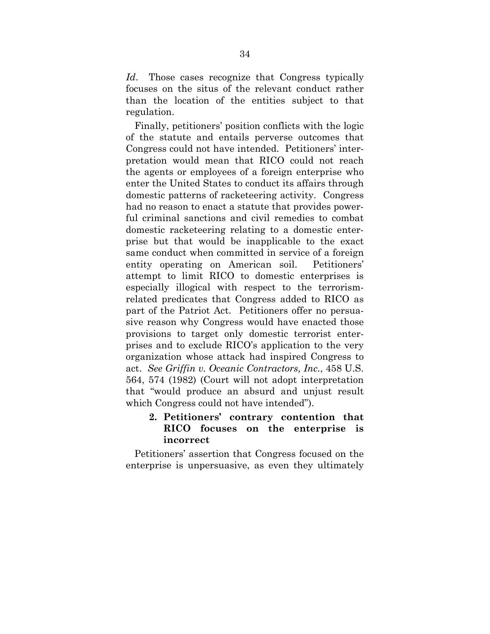*Id*. Those cases recognize that Congress typically focuses on the situs of the relevant conduct rather than the location of the entities subject to that regulation.

Finally, petitioners' position conflicts with the logic of the statute and entails perverse outcomes that Congress could not have intended. Petitioners' interpretation would mean that RICO could not reach the agents or employees of a foreign enterprise who enter the United States to conduct its affairs through domestic patterns of racketeering activity. Congress had no reason to enact a statute that provides powerful criminal sanctions and civil remedies to combat domestic racketeering relating to a domestic enterprise but that would be inapplicable to the exact same conduct when committed in service of a foreign entity operating on American soil. Petitioners' attempt to limit RICO to domestic enterprises is especially illogical with respect to the terrorismrelated predicates that Congress added to RICO as part of the Patriot Act. Petitioners offer no persuasive reason why Congress would have enacted those provisions to target only domestic terrorist enterprises and to exclude RICO's application to the very organization whose attack had inspired Congress to act. *See Griffin v. Oceanic Contractors, Inc.*, 458 U.S. 564, 574 (1982) (Court will not adopt interpretation that "would produce an absurd and unjust result which Congress could not have intended").

# **2. Petitioners' contrary contention that RICO focuses on the enterprise is incorrect**

Petitioners' assertion that Congress focused on the enterprise is unpersuasive, as even they ultimately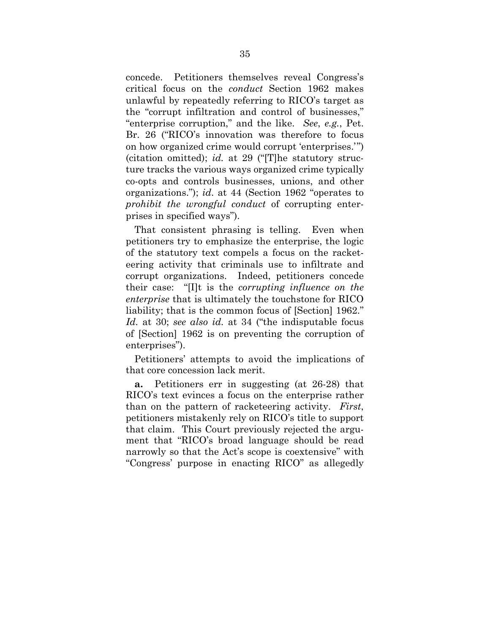concede. Petitioners themselves reveal Congress's critical focus on the *conduct* Section 1962 makes unlawful by repeatedly referring to RICO's target as the "corrupt infiltration and control of businesses," "enterprise corruption," and the like. *See*, *e.g.*, Pet. Br. 26 ("RICO's innovation was therefore to focus on how organized crime would corrupt 'enterprises.'") (citation omitted); *id.* at 29 ("[T]he statutory structure tracks the various ways organized crime typically co-opts and controls businesses, unions, and other organizations."); *id*. at 44 (Section 1962 "operates to *prohibit the wrongful conduct* of corrupting enterprises in specified ways").

That consistent phrasing is telling. Even when petitioners try to emphasize the enterprise, the logic of the statutory text compels a focus on the racketeering activity that criminals use to infiltrate and corrupt organizations. Indeed, petitioners concede their case: "[I]t is the *corrupting influence on the enterprise* that is ultimately the touchstone for RICO liability; that is the common focus of [Section] 1962." *Id.* at 30; *see also id.* at 34 ("the indisputable focus of [Section] 1962 is on preventing the corruption of enterprises").

Petitioners' attempts to avoid the implications of that core concession lack merit.

**a.** Petitioners err in suggesting (at 26-28) that RICO's text evinces a focus on the enterprise rather than on the pattern of racketeering activity. *First*, petitioners mistakenly rely on RICO's title to support that claim. This Court previously rejected the argument that "RICO's broad language should be read narrowly so that the Act's scope is coextensive" with "Congress' purpose in enacting RICO" as allegedly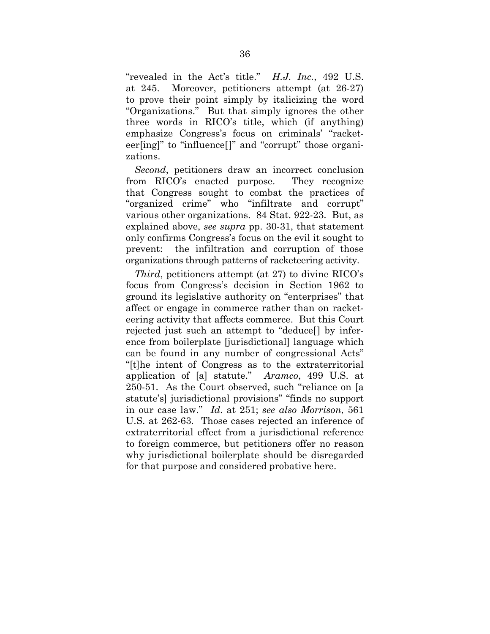"revealed in the Act's title." *H.J. Inc.*, 492 U.S. at 245. Moreover, petitioners attempt (at 26-27) to prove their point simply by italicizing the word "Organizations." But that simply ignores the other three words in RICO's title, which (if anything) emphasize Congress's focus on criminals' "racketeer[ing]" to "influence[]" and "corrupt" those organizations.

*Second*, petitioners draw an incorrect conclusion from RICO's enacted purpose. They recognize that Congress sought to combat the practices of "organized crime" who "infiltrate and corrupt" various other organizations. 84 Stat. 922-23. But, as explained above, *see supra* pp. 30-31, that statement only confirms Congress's focus on the evil it sought to prevent: the infiltration and corruption of those organizations through patterns of racketeering activity.

*Third*, petitioners attempt (at 27) to divine RICO's focus from Congress's decision in Section 1962 to ground its legislative authority on "enterprises" that affect or engage in commerce rather than on racketeering activity that affects commerce. But this Court rejected just such an attempt to "deduce[] by inference from boilerplate [jurisdictional] language which can be found in any number of congressional Acts" "[t]he intent of Congress as to the extraterritorial application of [a] statute." *Aramco*, 499 U.S. at 250-51. As the Court observed, such "reliance on [a statute's] jurisdictional provisions" "finds no support in our case law." *Id*. at 251; *see also Morrison*, 561 U.S. at 262-63. Those cases rejected an inference of extraterritorial effect from a jurisdictional reference to foreign commerce, but petitioners offer no reason why jurisdictional boilerplate should be disregarded for that purpose and considered probative here.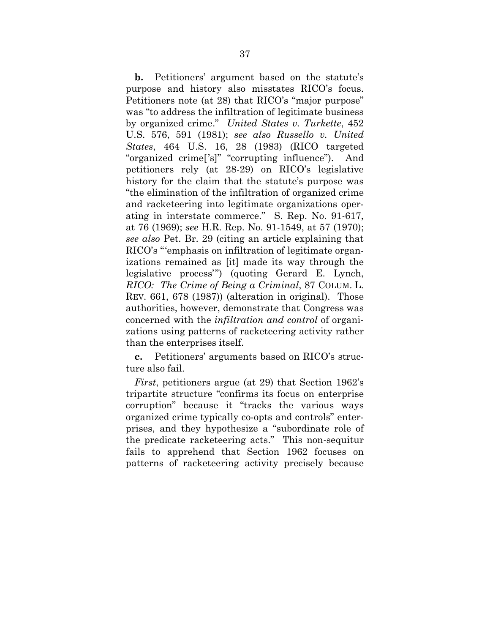**b.** Petitioners' argument based on the statute's purpose and history also misstates RICO's focus. Petitioners note (at 28) that RICO's "major purpose" was "to address the infiltration of legitimate business by organized crime." *United States v. Turkette*, 452 U.S. 576, 591 (1981); *see also Russello v. United States*, 464 U.S. 16, 28 (1983) (RICO targeted "organized crime['s]" "corrupting influence"). And petitioners rely (at 28-29) on RICO's legislative history for the claim that the statute's purpose was "the elimination of the infiltration of organized crime and racketeering into legitimate organizations operating in interstate commerce." S. Rep. No. 91-617, at 76 (1969); *see* H.R. Rep. No. 91-1549, at 57 (1970); *see also* Pet. Br. 29 (citing an article explaining that RICO's "'emphasis on infiltration of legitimate organizations remained as [it] made its way through the legislative process'") (quoting Gerard E. Lynch, *RICO: The Crime of Being a Criminal*, 87 COLUM. L. REV. 661, 678 (1987)) (alteration in original). Those authorities, however, demonstrate that Congress was concerned with the *infiltration and control* of organizations using patterns of racketeering activity rather than the enterprises itself.

**c.** Petitioners' arguments based on RICO's structure also fail.

*First*, petitioners argue (at 29) that Section 1962's tripartite structure "confirms its focus on enterprise corruption" because it "tracks the various ways organized crime typically co-opts and controls" enterprises, and they hypothesize a "subordinate role of the predicate racketeering acts." This non-sequitur fails to apprehend that Section 1962 focuses on patterns of racketeering activity precisely because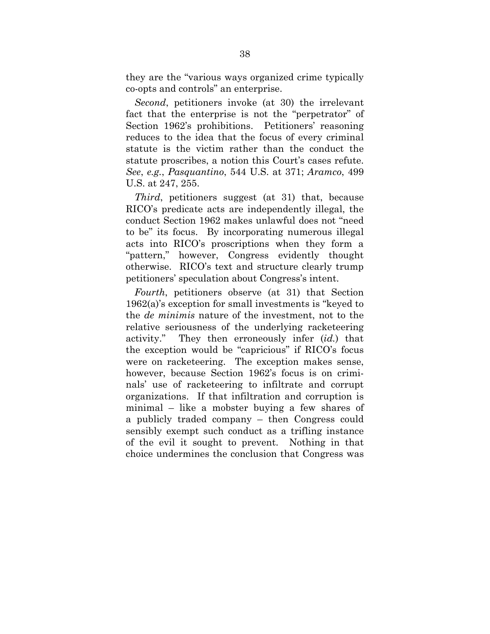they are the "various ways organized crime typically co-opts and controls" an enterprise.

*Second*, petitioners invoke (at 30) the irrelevant fact that the enterprise is not the "perpetrator" of Section 1962's prohibitions. Petitioners' reasoning reduces to the idea that the focus of every criminal statute is the victim rather than the conduct the statute proscribes, a notion this Court's cases refute. *See*, *e.g.*, *Pasquantino*, 544 U.S. at 371; *Aramco*, 499 U.S. at 247, 255.

*Third*, petitioners suggest (at 31) that, because RICO's predicate acts are independently illegal, the conduct Section 1962 makes unlawful does not "need to be" its focus. By incorporating numerous illegal acts into RICO's proscriptions when they form a "pattern," however, Congress evidently thought otherwise. RICO's text and structure clearly trump petitioners' speculation about Congress's intent.

*Fourth*, petitioners observe (at 31) that Section 1962(a)'s exception for small investments is "keyed to the *de minimis* nature of the investment, not to the relative seriousness of the underlying racketeering activity." They then erroneously infer (*id.*) that the exception would be "capricious" if RICO's focus were on racketeering. The exception makes sense, however, because Section 1962's focus is on criminals' use of racketeering to infiltrate and corrupt organizations. If that infiltration and corruption is minimal – like a mobster buying a few shares of a publicly traded company – then Congress could sensibly exempt such conduct as a trifling instance of the evil it sought to prevent. Nothing in that choice undermines the conclusion that Congress was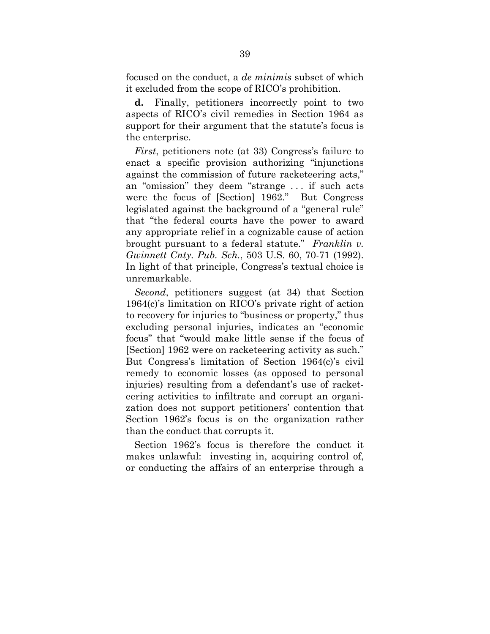focused on the conduct, a *de minimis* subset of which it excluded from the scope of RICO's prohibition.

**d.** Finally, petitioners incorrectly point to two aspects of RICO's civil remedies in Section 1964 as support for their argument that the statute's focus is the enterprise.

*First*, petitioners note (at 33) Congress's failure to enact a specific provision authorizing "injunctions against the commission of future racketeering acts," an "omission" they deem "strange . . . if such acts were the focus of [Section] 1962." But Congress legislated against the background of a "general rule" that "the federal courts have the power to award any appropriate relief in a cognizable cause of action brought pursuant to a federal statute." *Franklin v. Gwinnett Cnty. Pub. Sch.*, 503 U.S. 60, 70-71 (1992). In light of that principle, Congress's textual choice is unremarkable.

*Second*, petitioners suggest (at 34) that Section 1964(c)'s limitation on RICO's private right of action to recovery for injuries to "business or property," thus excluding personal injuries, indicates an "economic focus" that "would make little sense if the focus of [Section] 1962 were on racketeering activity as such." But Congress's limitation of Section 1964(c)'s civil remedy to economic losses (as opposed to personal injuries) resulting from a defendant's use of racketeering activities to infiltrate and corrupt an organization does not support petitioners' contention that Section 1962's focus is on the organization rather than the conduct that corrupts it.

Section 1962's focus is therefore the conduct it makes unlawful: investing in, acquiring control of, or conducting the affairs of an enterprise through a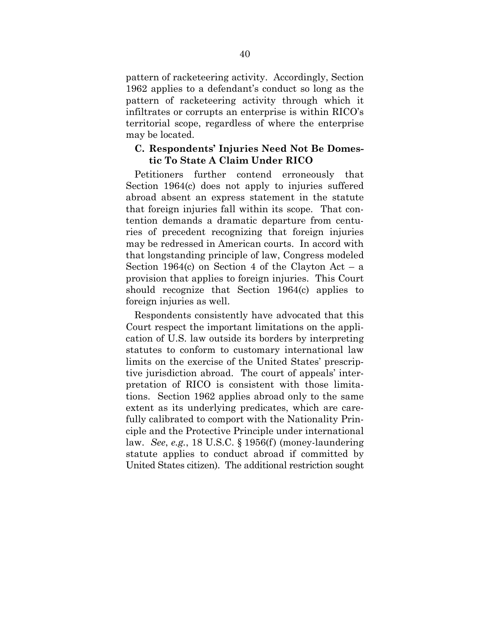pattern of racketeering activity. Accordingly, Section 1962 applies to a defendant's conduct so long as the pattern of racketeering activity through which it infiltrates or corrupts an enterprise is within RICO's territorial scope, regardless of where the enterprise may be located.

## **C. Respondents' Injuries Need Not Be Domestic To State A Claim Under RICO**

Petitioners further contend erroneously that Section 1964(c) does not apply to injuries suffered abroad absent an express statement in the statute that foreign injuries fall within its scope. That contention demands a dramatic departure from centuries of precedent recognizing that foreign injuries may be redressed in American courts. In accord with that longstanding principle of law, Congress modeled Section 1964(c) on Section 4 of the Clayton Act – a provision that applies to foreign injuries. This Court should recognize that Section 1964(c) applies to foreign injuries as well.

Respondents consistently have advocated that this Court respect the important limitations on the application of U.S. law outside its borders by interpreting statutes to conform to customary international law limits on the exercise of the United States' prescriptive jurisdiction abroad. The court of appeals' interpretation of RICO is consistent with those limitations. Section 1962 applies abroad only to the same extent as its underlying predicates, which are carefully calibrated to comport with the Nationality Principle and the Protective Principle under international law. *See*, *e.g.*, 18 U.S.C. § 1956(f) (money-laundering statute applies to conduct abroad if committed by United States citizen). The additional restriction sought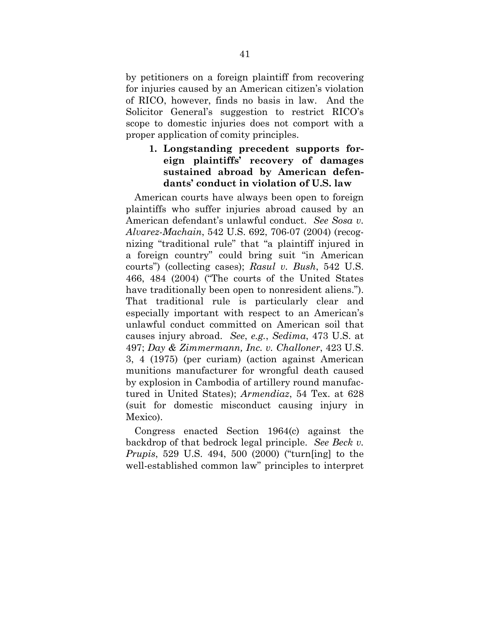by petitioners on a foreign plaintiff from recovering for injuries caused by an American citizen's violation of RICO, however, finds no basis in law. And the Solicitor General's suggestion to restrict RICO's scope to domestic injuries does not comport with a proper application of comity principles.

## **1. Longstanding precedent supports foreign plaintiffs' recovery of damages sustained abroad by American defendants' conduct in violation of U.S. law**

American courts have always been open to foreign plaintiffs who suffer injuries abroad caused by an American defendant's unlawful conduct. *See Sosa v. Alvarez-Machain*, 542 U.S. 692, 706-07 (2004) (recognizing "traditional rule" that "a plaintiff injured in a foreign country" could bring suit "in American courts") (collecting cases); *Rasul v. Bush*, 542 U.S. 466, 484 (2004) ("The courts of the United States have traditionally been open to nonresident aliens."). That traditional rule is particularly clear and especially important with respect to an American's unlawful conduct committed on American soil that causes injury abroad. *See*, *e.g.*, *Sedima*, 473 U.S. at 497; *Day & Zimmermann, Inc. v. Challoner*, 423 U.S. 3, 4 (1975) (per curiam) (action against American munitions manufacturer for wrongful death caused by explosion in Cambodia of artillery round manufactured in United States); *Armendiaz*, 54 Tex. at 628 (suit for domestic misconduct causing injury in Mexico).

Congress enacted Section 1964(c) against the backdrop of that bedrock legal principle. *See Beck v. Prupis*, 529 U.S. 494, 500 (2000) ("turn[ing] to the well-established common law" principles to interpret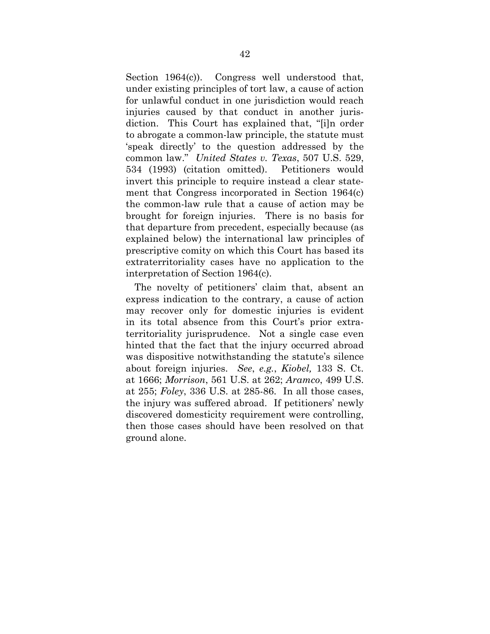Section 1964(c)). Congress well understood that, under existing principles of tort law, a cause of action for unlawful conduct in one jurisdiction would reach injuries caused by that conduct in another jurisdiction. This Court has explained that, "[i]n order to abrogate a common-law principle, the statute must 'speak directly' to the question addressed by the common law." *United States v. Texas*, 507 U.S. 529, 534 (1993) (citation omitted). Petitioners would invert this principle to require instead a clear statement that Congress incorporated in Section 1964(c) the common-law rule that a cause of action may be brought for foreign injuries. There is no basis for that departure from precedent, especially because (as explained below) the international law principles of prescriptive comity on which this Court has based its extraterritoriality cases have no application to the interpretation of Section 1964(c).

The novelty of petitioners' claim that, absent an express indication to the contrary, a cause of action may recover only for domestic injuries is evident in its total absence from this Court's prior extraterritoriality jurisprudence. Not a single case even hinted that the fact that the injury occurred abroad was dispositive notwithstanding the statute's silence about foreign injuries. *See*, *e.g.*, *Kiobel,* 133 S. Ct. at 1666; *Morrison*, 561 U.S. at 262; *Aramco*, 499 U.S. at 255; *Foley*, 336 U.S. at 285-86. In all those cases, the injury was suffered abroad. If petitioners' newly discovered domesticity requirement were controlling, then those cases should have been resolved on that ground alone.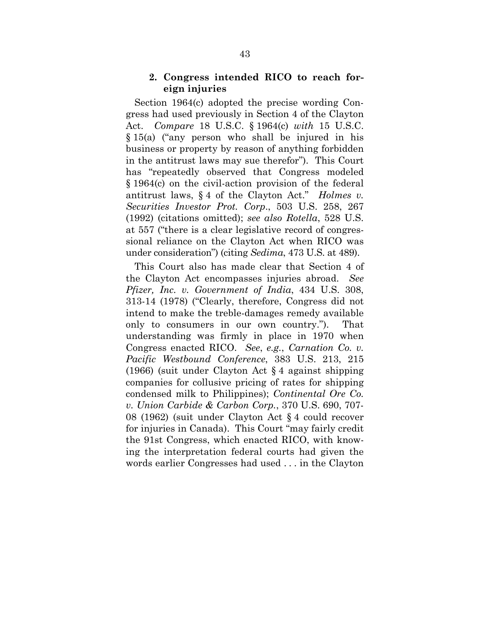#### **2. Congress intended RICO to reach foreign injuries**

Section 1964(c) adopted the precise wording Congress had used previously in Section 4 of the Clayton Act. *Compare* 18 U.S.C. § 1964(c) *with* 15 U.S.C. § 15(a) ("any person who shall be injured in his business or property by reason of anything forbidden in the antitrust laws may sue therefor"). This Court has "repeatedly observed that Congress modeled § 1964(c) on the civil-action provision of the federal antitrust laws, § 4 of the Clayton Act." *Holmes v. Securities Investor Prot. Corp*., 503 U.S. 258, 267 (1992) (citations omitted); *see also Rotella*, 528 U.S. at 557 ("there is a clear legislative record of congressional reliance on the Clayton Act when RICO was under consideration") (citing *Sedima*, 473 U.S. at 489).

This Court also has made clear that Section 4 of the Clayton Act encompasses injuries abroad. *See Pfizer, Inc. v. Government of India*, 434 U.S. 308, 313-14 (1978) ("Clearly, therefore, Congress did not intend to make the treble-damages remedy available only to consumers in our own country."). That understanding was firmly in place in 1970 when Congress enacted RICO. *See*, *e.g.*, *Carnation Co. v. Pacific Westbound Conference*, 383 U.S. 213, 215 (1966) (suit under Clayton Act § 4 against shipping companies for collusive pricing of rates for shipping condensed milk to Philippines); *Continental Ore Co. v. Union Carbide & Carbon Corp.*, 370 U.S. 690, 707- 08 (1962) (suit under Clayton Act § 4 could recover for injuries in Canada).This Court "may fairly credit the 91st Congress, which enacted RICO, with knowing the interpretation federal courts had given the words earlier Congresses had used . . . in the Clayton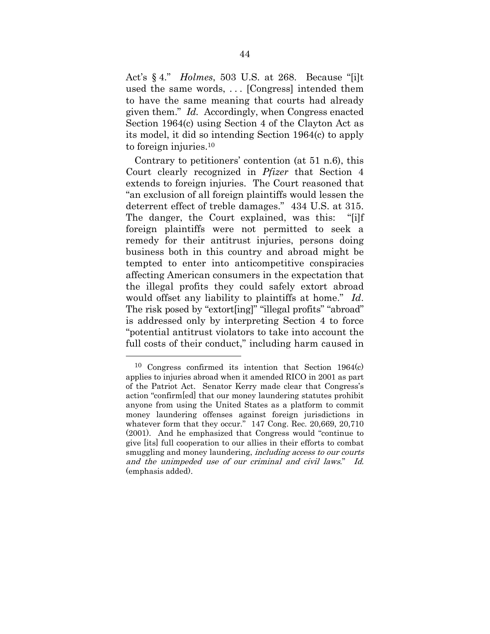Act's § 4." *Holmes*, 503 U.S. at 268. Because "[i]t used the same words, . . . [Congress] intended them to have the same meaning that courts had already given them." *Id.* Accordingly, when Congress enacted Section 1964(c) using Section 4 of the Clayton Act as its model, it did so intending Section 1964(c) to apply to foreign injuries.10

Contrary to petitioners' contention (at 51 n.6), this Court clearly recognized in *Pfizer* that Section 4 extends to foreign injuries. The Court reasoned that "an exclusion of all foreign plaintiffs would lessen the deterrent effect of treble damages." 434 U.S. at 315. The danger, the Court explained, was this: "[i]f foreign plaintiffs were not permitted to seek a remedy for their antitrust injuries, persons doing business both in this country and abroad might be tempted to enter into anticompetitive conspiracies affecting American consumers in the expectation that the illegal profits they could safely extort abroad would offset any liability to plaintiffs at home." *Id*. The risk posed by "extort[ing]" "illegal profits" "abroad" is addressed only by interpreting Section 4 to force "potential antitrust violators to take into account the full costs of their conduct," including harm caused in

1

<sup>10</sup> Congress confirmed its intention that Section 1964(c) applies to injuries abroad when it amended RICO in 2001 as part of the Patriot Act. Senator Kerry made clear that Congress's action "confirm[ed] that our money laundering statutes prohibit anyone from using the United States as a platform to commit money laundering offenses against foreign jurisdictions in whatever form that they occur." 147 Cong. Rec. 20,669, 20,710 (2001). And he emphasized that Congress would "continue to give [its] full cooperation to our allies in their efforts to combat smuggling and money laundering, *including access to our courts* and the unimpeded use of our criminal and civil laws." Id. (emphasis added).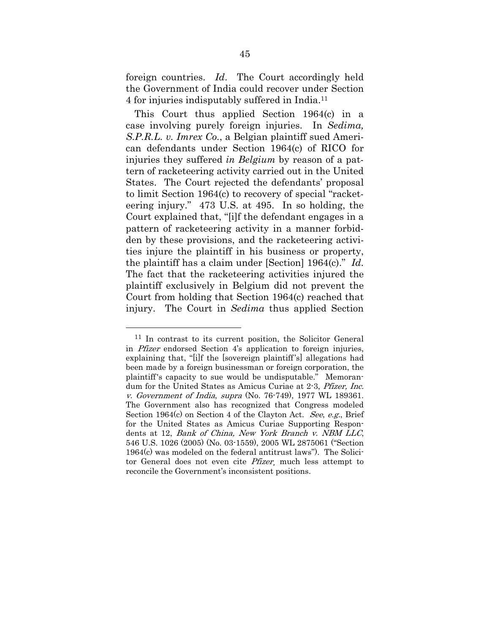foreign countries. *Id*. The Court accordingly held the Government of India could recover under Section 4 for injuries indisputably suffered in India.11

This Court thus applied Section 1964(c) in a case involving purely foreign injuries. In *Sedima, S.P.R.L. v. Imrex Co.*, a Belgian plaintiff sued American defendants under Section 1964(c) of RICO for injuries they suffered *in Belgium* by reason of a pattern of racketeering activity carried out in the United States. The Court rejected the defendants' proposal to limit Section 1964(c) to recovery of special "racketeering injury." 473 U.S. at 495. In so holding, the Court explained that, "[i]f the defendant engages in a pattern of racketeering activity in a manner forbidden by these provisions, and the racketeering activities injure the plaintiff in his business or property, the plaintiff has a claim under [Section] 1964(c)." *Id*. The fact that the racketeering activities injured the plaintiff exclusively in Belgium did not prevent the Court from holding that Section 1964(c) reached that injury. The Court in *Sedima* thus applied Section

1

<sup>11</sup> In contrast to its current position, the Solicitor General in Pfizer endorsed Section 4's application to foreign injuries, explaining that, "[i]f the [sovereign plaintiff's] allegations had been made by a foreign businessman or foreign corporation, the plaintiff's capacity to sue would be undisputable." Memorandum for the United States as Amicus Curiae at 2-3, Pfizer, Inc. v. Government of India, supra (No. 76-749), 1977 WL 189361. The Government also has recognized that Congress modeled Section 1964(c) on Section 4 of the Clayton Act. See, e.g., Brief for the United States as Amicus Curiae Supporting Respondents at 12, Bank of China, New York Branch v. NBM LLC, 546 U.S. 1026 (2005) (No. 03-1559), 2005 WL 2875061 ("Section 1964(c) was modeled on the federal antitrust laws"). The Solicitor General does not even cite Pfizer, much less attempt to reconcile the Government's inconsistent positions.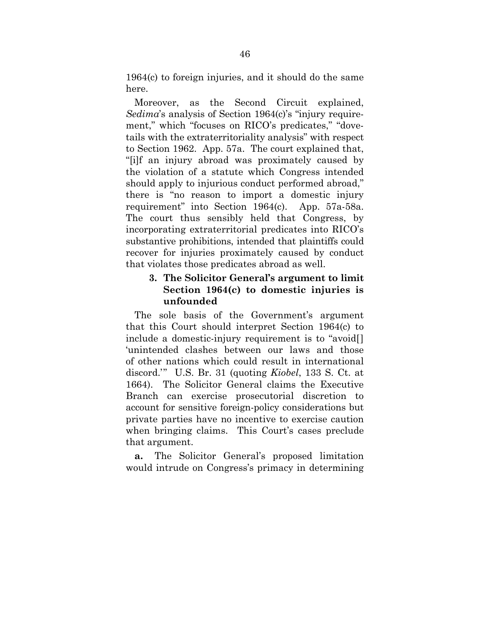1964(c) to foreign injuries, and it should do the same here.

Moreover, as the Second Circuit explained, *Sedima*'s analysis of Section 1964(c)'s "injury requirement," which "focuses on RICO's predicates," "dovetails with the extraterritoriality analysis" with respect to Section 1962. App. 57a. The court explained that, "[i]f an injury abroad was proximately caused by the violation of a statute which Congress intended should apply to injurious conduct performed abroad," there is "no reason to import a domestic injury requirement" into Section 1964(c). App. 57a-58a. The court thus sensibly held that Congress, by incorporating extraterritorial predicates into RICO's substantive prohibitions, intended that plaintiffs could recover for injuries proximately caused by conduct that violates those predicates abroad as well.

## **3. The Solicitor General's argument to limit Section 1964(c) to domestic injuries is unfounded**

The sole basis of the Government's argument that this Court should interpret Section 1964(c) to include a domestic-injury requirement is to "avoid[] 'unintended clashes between our laws and those of other nations which could result in international discord.'" U.S. Br. 31 (quoting *Kiobel*, 133 S. Ct. at 1664). The Solicitor General claims the Executive Branch can exercise prosecutorial discretion to account for sensitive foreign-policy considerations but private parties have no incentive to exercise caution when bringing claims. This Court's cases preclude that argument.

**a.** The Solicitor General's proposed limitation would intrude on Congress's primacy in determining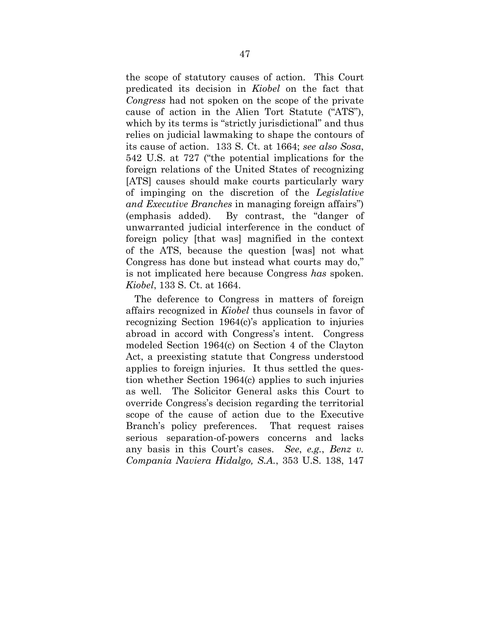the scope of statutory causes of action. This Court predicated its decision in *Kiobel* on the fact that *Congress* had not spoken on the scope of the private cause of action in the Alien Tort Statute ("ATS"), which by its terms is "strictly jurisdictional" and thus relies on judicial lawmaking to shape the contours of its cause of action. 133 S. Ct. at 1664; *see also Sosa*, 542 U.S. at 727 ("the potential implications for the foreign relations of the United States of recognizing [ATS] causes should make courts particularly wary of impinging on the discretion of the *Legislative and Executive Branches* in managing foreign affairs") (emphasis added). By contrast, the "danger of unwarranted judicial interference in the conduct of foreign policy [that was] magnified in the context of the ATS, because the question [was] not what Congress has done but instead what courts may do," is not implicated here because Congress *has* spoken. *Kiobel*, 133 S. Ct. at 1664.

The deference to Congress in matters of foreign affairs recognized in *Kiobel* thus counsels in favor of recognizing Section 1964(c)'s application to injuries abroad in accord with Congress's intent. Congress modeled Section 1964(c) on Section 4 of the Clayton Act, a preexisting statute that Congress understood applies to foreign injuries. It thus settled the question whether Section 1964(c) applies to such injuries as well. The Solicitor General asks this Court to override Congress's decision regarding the territorial scope of the cause of action due to the Executive Branch's policy preferences. That request raises serious separation-of-powers concerns and lacks any basis in this Court's cases. *See*, *e.g.*, *Benz v. Compania Naviera Hidalgo, S.A.*, 353 U.S. 138, 147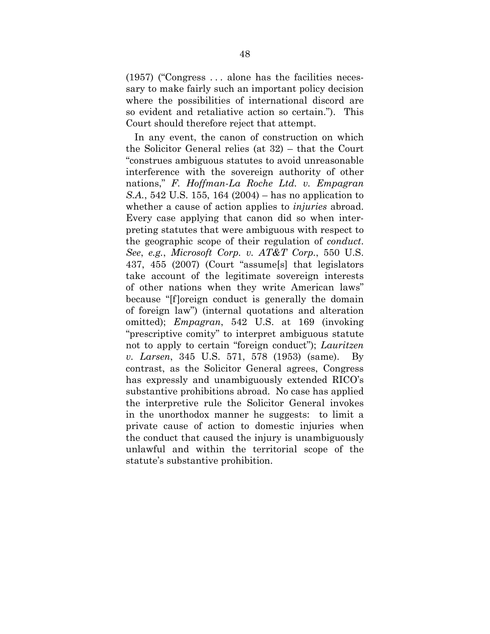(1957) ("Congress . . . alone has the facilities necessary to make fairly such an important policy decision where the possibilities of international discord are so evident and retaliative action so certain."). This Court should therefore reject that attempt.

In any event, the canon of construction on which the Solicitor General relies (at 32) – that the Court "construes ambiguous statutes to avoid unreasonable interference with the sovereign authority of other nations," *F. Hoffman-La Roche Ltd. v. Empagran S.A.*, 542 U.S. 155, 164 (2004) – has no application to whether a cause of action applies to *injuries* abroad. Every case applying that canon did so when interpreting statutes that were ambiguous with respect to the geographic scope of their regulation of *conduct*. *See*, *e.g.*, *Microsoft Corp. v. AT&T Corp.*, 550 U.S. 437, 455 (2007) (Court "assume[s] that legislators take account of the legitimate sovereign interests of other nations when they write American laws" because "[f]oreign conduct is generally the domain of foreign law") (internal quotations and alteration omitted); *Empagran*, 542 U.S. at 169 (invoking "prescriptive comity" to interpret ambiguous statute not to apply to certain "foreign conduct"); *Lauritzen v. Larsen*, 345 U.S. 571, 578 (1953) (same). By contrast, as the Solicitor General agrees, Congress has expressly and unambiguously extended RICO's substantive prohibitions abroad. No case has applied the interpretive rule the Solicitor General invokes in the unorthodox manner he suggests: to limit a private cause of action to domestic injuries when the conduct that caused the injury is unambiguously unlawful and within the territorial scope of the statute's substantive prohibition.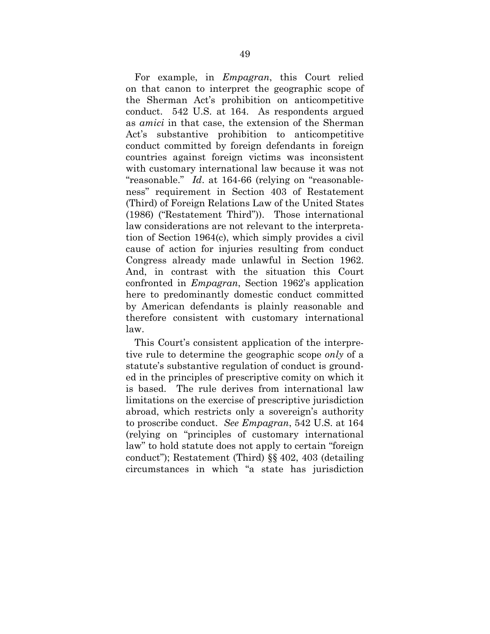For example, in *Empagran*, this Court relied on that canon to interpret the geographic scope of the Sherman Act's prohibition on anticompetitive conduct. 542 U.S. at 164. As respondents argued as *amici* in that case, the extension of the Sherman Act's substantive prohibition to anticompetitive conduct committed by foreign defendants in foreign countries against foreign victims was inconsistent with customary international law because it was not "reasonable." *Id*. at 164-66 (relying on "reasonableness" requirement in Section 403 of Restatement (Third) of Foreign Relations Law of the United States (1986) ("Restatement Third")). Those international law considerations are not relevant to the interpretation of Section 1964(c), which simply provides a civil cause of action for injuries resulting from conduct Congress already made unlawful in Section 1962. And, in contrast with the situation this Court confronted in *Empagran*, Section 1962's application here to predominantly domestic conduct committed by American defendants is plainly reasonable and therefore consistent with customary international law.

This Court's consistent application of the interpretive rule to determine the geographic scope *only* of a statute's substantive regulation of conduct is grounded in the principles of prescriptive comity on which it is based. The rule derives from international law limitations on the exercise of prescriptive jurisdiction abroad, which restricts only a sovereign's authority to proscribe conduct. *See Empagran*, 542 U.S. at 164 (relying on "principles of customary international law" to hold statute does not apply to certain "foreign conduct"); Restatement (Third) §§ 402, 403 (detailing circumstances in which "a state has jurisdiction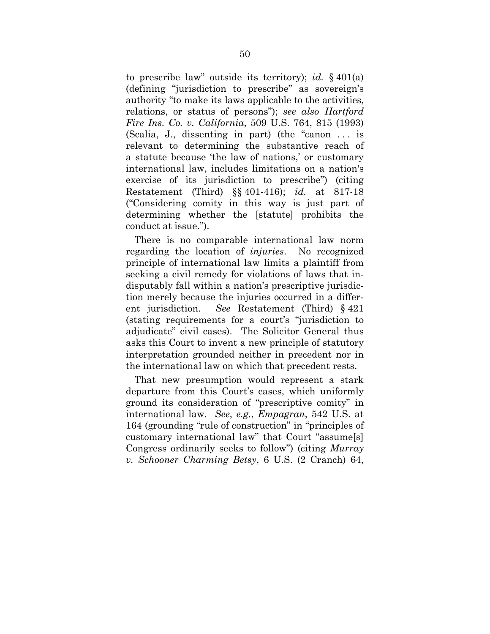to prescribe law" outside its territory); *id.* § 401(a) (defining "jurisdiction to prescribe" as sovereign's authority "to make its laws applicable to the activities, relations, or status of persons"); *see also Hartford Fire Ins. Co. v. California*, 509 U.S. 764, 815 (1993) (Scalia, J., dissenting in part) (the "canon . . . is relevant to determining the substantive reach of a statute because 'the law of nations,' or customary international law, includes limitations on a nation's exercise of its jurisdiction to prescribe") (citing Restatement (Third) §§ 401-416); *id.* at 817-18 ("Considering comity in this way is just part of determining whether the [statute] prohibits the conduct at issue.").

There is no comparable international law norm regarding the location of *injuries*. No recognized principle of international law limits a plaintiff from seeking a civil remedy for violations of laws that indisputably fall within a nation's prescriptive jurisdiction merely because the injuries occurred in a different jurisdiction. *See* Restatement (Third) § 421 (stating requirements for a court's "jurisdiction to adjudicate" civil cases). The Solicitor General thus asks this Court to invent a new principle of statutory interpretation grounded neither in precedent nor in the international law on which that precedent rests.

That new presumption would represent a stark departure from this Court's cases, which uniformly ground its consideration of "prescriptive comity" in international law. *See*, *e.g.*, *Empagran*, 542 U.S. at 164 (grounding "rule of construction" in "principles of customary international law" that Court "assume[s] Congress ordinarily seeks to follow") (citing *Murray v. Schooner Charming Betsy*, 6 U.S. (2 Cranch) 64,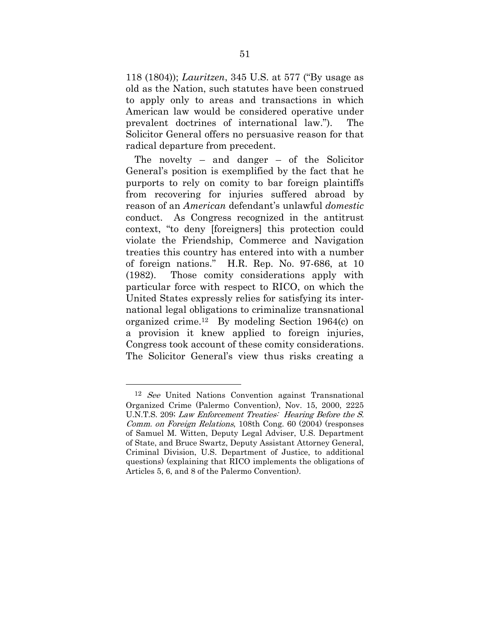118 (1804)); *Lauritzen*, 345 U.S. at 577 ("By usage as old as the Nation, such statutes have been construed to apply only to areas and transactions in which American law would be considered operative under prevalent doctrines of international law."). The Solicitor General offers no persuasive reason for that radical departure from precedent.

The novelty – and danger – of the Solicitor General's position is exemplified by the fact that he purports to rely on comity to bar foreign plaintiffs from recovering for injuries suffered abroad by reason of an *American* defendant's unlawful *domestic* conduct. As Congress recognized in the antitrust context, "to deny [foreigners] this protection could violate the Friendship, Commerce and Navigation treaties this country has entered into with a number of foreign nations." H.R. Rep. No. 97-686, at 10 (1982). Those comity considerations apply with particular force with respect to RICO, on which the United States expressly relies for satisfying its international legal obligations to criminalize transnational organized crime.12 By modeling Section 1964(c) on a provision it knew applied to foreign injuries, Congress took account of these comity considerations. The Solicitor General's view thus risks creating a

1

<sup>12</sup> See United Nations Convention against Transnational Organized Crime (Palermo Convention), Nov. 15, 2000, 2225 U.N.T.S. 209; Law Enforcement Treaties: Hearing Before the S. Comm. on Foreign Relations, 108th Cong. 60 (2004) (responses of Samuel M. Witten, Deputy Legal Adviser, U.S. Department of State, and Bruce Swartz, Deputy Assistant Attorney General, Criminal Division, U.S. Department of Justice, to additional questions) (explaining that RICO implements the obligations of Articles 5, 6, and 8 of the Palermo Convention).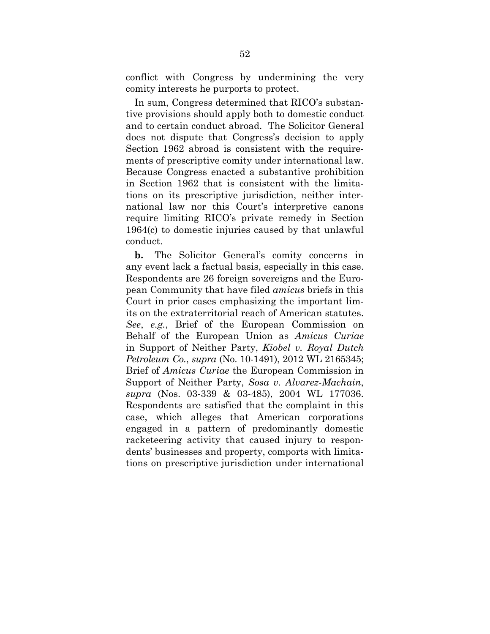conflict with Congress by undermining the very comity interests he purports to protect.

In sum, Congress determined that RICO's substantive provisions should apply both to domestic conduct and to certain conduct abroad. The Solicitor General does not dispute that Congress's decision to apply Section 1962 abroad is consistent with the requirements of prescriptive comity under international law. Because Congress enacted a substantive prohibition in Section 1962 that is consistent with the limitations on its prescriptive jurisdiction, neither international law nor this Court's interpretive canons require limiting RICO's private remedy in Section 1964(c) to domestic injuries caused by that unlawful conduct.

**b.** The Solicitor General's comity concerns in any event lack a factual basis, especially in this case. Respondents are 26 foreign sovereigns and the European Community that have filed *amicus* briefs in this Court in prior cases emphasizing the important limits on the extraterritorial reach of American statutes. *See*, *e.g.*, Brief of the European Commission on Behalf of the European Union as *Amicus Curiae*  in Support of Neither Party, *Kiobel v. Royal Dutch Petroleum Co.*, *supra* (No. 10-1491), 2012 WL 2165345; Brief of *Amicus Curiae* the European Commission in Support of Neither Party, *Sosa v. Alvarez-Machain*, *supra* (Nos. 03-339 & 03-485), 2004 WL 177036. Respondents are satisfied that the complaint in this case, which alleges that American corporations engaged in a pattern of predominantly domestic racketeering activity that caused injury to respondents' businesses and property, comports with limitations on prescriptive jurisdiction under international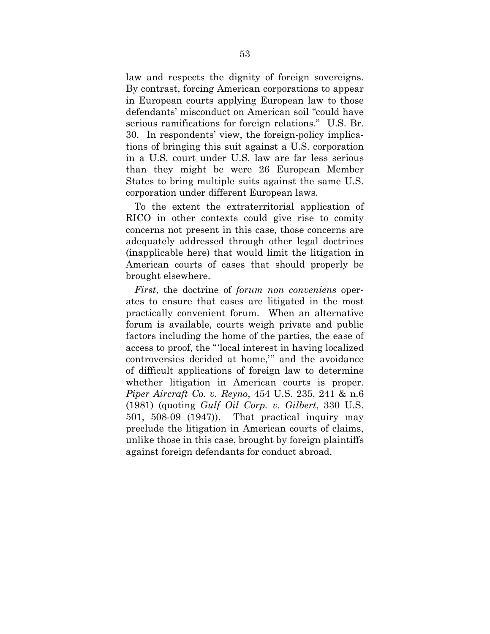law and respects the dignity of foreign sovereigns. By contrast, forcing American corporations to appear in European courts applying European law to those defendants' misconduct on American soil "could have serious ramifications for foreign relations." U.S. Br. 30. In respondents' view, the foreign-policy implications of bringing this suit against a U.S. corporation in a U.S. court under U.S. law are far less serious than they might be were 26 European Member States to bring multiple suits against the same U.S. corporation under different European laws.

To the extent the extraterritorial application of RICO in other contexts could give rise to comity concerns not present in this case, those concerns are adequately addressed through other legal doctrines (inapplicable here) that would limit the litigation in American courts of cases that should properly be brought elsewhere.

*First*, the doctrine of *forum non conveniens* operates to ensure that cases are litigated in the most practically convenient forum. When an alternative forum is available, courts weigh private and public factors including the home of the parties, the ease of access to proof, the "'local interest in having localized controversies decided at home,'" and the avoidance of difficult applications of foreign law to determine whether litigation in American courts is proper. *Piper Aircraft Co. v. Reyno*, 454 U.S. 235, 241 & n.6 (1981) (quoting *Gulf Oil Corp. v. Gilbert*, 330 U.S. 501, 508-09 (1947)). That practical inquiry may preclude the litigation in American courts of claims, unlike those in this case, brought by foreign plaintiffs against foreign defendants for conduct abroad.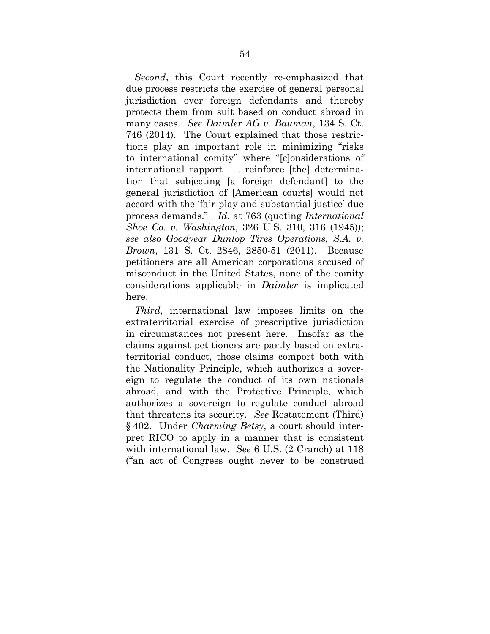*Second*, this Court recently re-emphasized that due process restricts the exercise of general personal jurisdiction over foreign defendants and thereby protects them from suit based on conduct abroad in many cases. *See Daimler AG v. Bauman*, 134 S. Ct. 746 (2014). The Court explained that those restrictions play an important role in minimizing "risks to international comity" where "[c]onsiderations of international rapport . . . reinforce [the] determination that subjecting [a foreign defendant] to the general jurisdiction of [American courts] would not accord with the 'fair play and substantial justice' due process demands." *Id*. at 763 (quoting *International Shoe Co. v. Washington*, 326 U.S. 310, 316 (1945)); *see also Goodyear Dunlop Tires Operations, S.A. v. Brown*, 131 S. Ct. 2846, 2850-51 (2011). Because petitioners are all American corporations accused of misconduct in the United States, none of the comity considerations applicable in *Daimler* is implicated here.

*Third*, international law imposes limits on the extraterritorial exercise of prescriptive jurisdiction in circumstances not present here. Insofar as the claims against petitioners are partly based on extraterritorial conduct, those claims comport both with the Nationality Principle, which authorizes a sovereign to regulate the conduct of its own nationals abroad, and with the Protective Principle, which authorizes a sovereign to regulate conduct abroad that threatens its security. *See* Restatement (Third) § 402. Under *Charming Betsy*, a court should interpret RICO to apply in a manner that is consistent with international law. *See* 6 U.S. (2 Cranch) at 118 ("an act of Congress ought never to be construed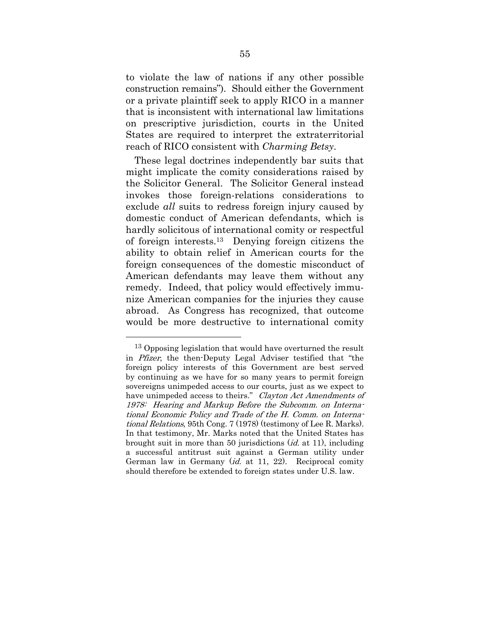to violate the law of nations if any other possible construction remains"). Should either the Government or a private plaintiff seek to apply RICO in a manner that is inconsistent with international law limitations on prescriptive jurisdiction, courts in the United States are required to interpret the extraterritorial reach of RICO consistent with *Charming Betsy*.

These legal doctrines independently bar suits that might implicate the comity considerations raised by the Solicitor General. The Solicitor General instead invokes those foreign-relations considerations to exclude *all* suits to redress foreign injury caused by domestic conduct of American defendants, which is hardly solicitous of international comity or respectful of foreign interests.13 Denying foreign citizens the ability to obtain relief in American courts for the foreign consequences of the domestic misconduct of American defendants may leave them without any remedy. Indeed, that policy would effectively immunize American companies for the injuries they cause abroad. As Congress has recognized, that outcome would be more destructive to international comity

1

<sup>&</sup>lt;sup>13</sup> Opposing legislation that would have overturned the result in Pfizer, the then-Deputy Legal Adviser testified that "the foreign policy interests of this Government are best served by continuing as we have for so many years to permit foreign sovereigns unimpeded access to our courts, just as we expect to have unimpeded access to theirs." Clayton Act Amendments of 1978: Hearing and Markup Before the Subcomm. on International Economic Policy and Trade of the H. Comm. on International Relations, 95th Cong. 7 (1978) (testimony of Lee R. Marks). In that testimony, Mr. Marks noted that the United States has brought suit in more than 50 jurisdictions (id. at 11), including a successful antitrust suit against a German utility under German law in Germany (id. at 11, 22). Reciprocal comity should therefore be extended to foreign states under U.S. law.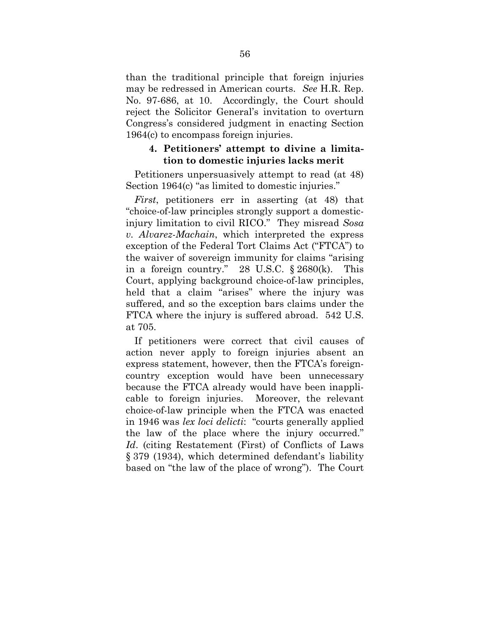than the traditional principle that foreign injuries may be redressed in American courts. *See* H.R. Rep. No. 97-686, at 10. Accordingly, the Court should reject the Solicitor General's invitation to overturn Congress's considered judgment in enacting Section 1964(c) to encompass foreign injuries.

#### **4. Petitioners' attempt to divine a limitation to domestic injuries lacks merit**

Petitioners unpersuasively attempt to read (at 48) Section 1964(c) "as limited to domestic injuries."

*First*, petitioners err in asserting (at 48) that "choice-of-law principles strongly support a domesticinjury limitation to civil RICO." They misread *Sosa v. Alvarez-Machain*, which interpreted the express exception of the Federal Tort Claims Act ("FTCA") to the waiver of sovereign immunity for claims "arising in a foreign country." 28 U.S.C. § 2680(k). This Court, applying background choice-of-law principles, held that a claim "arises" where the injury was suffered, and so the exception bars claims under the FTCA where the injury is suffered abroad. 542 U.S. at 705.

If petitioners were correct that civil causes of action never apply to foreign injuries absent an express statement, however, then the FTCA's foreigncountry exception would have been unnecessary because the FTCA already would have been inapplicable to foreign injuries. Moreover, the relevant choice-of-law principle when the FTCA was enacted in 1946 was *lex loci delicti*: "courts generally applied the law of the place where the injury occurred." *Id*. (citing Restatement (First) of Conflicts of Laws § 379 (1934), which determined defendant's liability based on "the law of the place of wrong"). The Court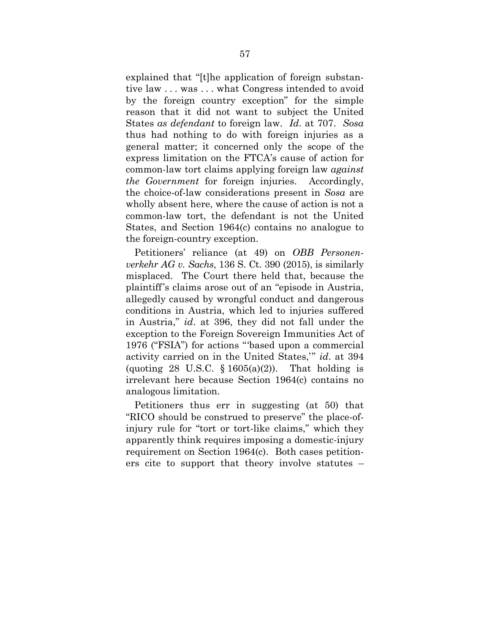explained that "[t]he application of foreign substantive law . . . was . . . what Congress intended to avoid by the foreign country exception" for the simple reason that it did not want to subject the United States *as defendant* to foreign law. *Id*. at 707. *Sosa* thus had nothing to do with foreign injuries as a general matter; it concerned only the scope of the express limitation on the FTCA's cause of action for common-law tort claims applying foreign law *against the Government* for foreign injuries. Accordingly, the choice-of-law considerations present in *Sosa* are wholly absent here, where the cause of action is not a common-law tort, the defendant is not the United States, and Section 1964(c) contains no analogue to the foreign-country exception.

Petitioners' reliance (at 49) on *OBB Personenverkehr AG v. Sachs*, 136 S. Ct. 390 (2015), is similarly misplaced. The Court there held that, because the plaintiff's claims arose out of an "episode in Austria, allegedly caused by wrongful conduct and dangerous conditions in Austria, which led to injuries suffered in Austria," *id*. at 396, they did not fall under the exception to the Foreign Sovereign Immunities Act of 1976 ("FSIA") for actions "'based upon a commercial activity carried on in the United States,'" *id*. at 394 (quoting 28 U.S.C.  $\S 1605(a)(2)$ ). That holding is irrelevant here because Section 1964(c) contains no analogous limitation.

Petitioners thus err in suggesting (at 50) that "RICO should be construed to preserve" the place-ofinjury rule for "tort or tort-like claims," which they apparently think requires imposing a domestic-injury requirement on Section 1964(c). Both cases petitioners cite to support that theory involve statutes –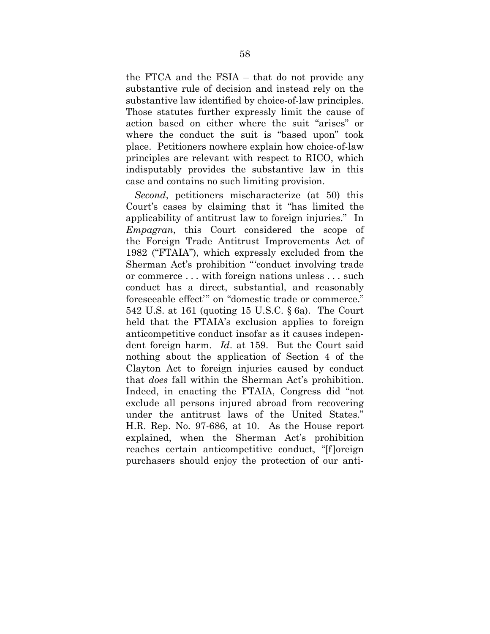the FTCA and the FSIA – that do not provide any substantive rule of decision and instead rely on the substantive law identified by choice-of-law principles. Those statutes further expressly limit the cause of action based on either where the suit "arises" or where the conduct the suit is "based upon" took place. Petitioners nowhere explain how choice-of-law principles are relevant with respect to RICO, which indisputably provides the substantive law in this case and contains no such limiting provision.

*Second*, petitioners mischaracterize (at 50) this Court's cases by claiming that it "has limited the applicability of antitrust law to foreign injuries." In *Empagran*, this Court considered the scope of the Foreign Trade Antitrust Improvements Act of 1982 ("FTAIA"), which expressly excluded from the Sherman Act's prohibition "'conduct involving trade or commerce . . . with foreign nations unless . . . such conduct has a direct, substantial, and reasonably foreseeable effect'" on "domestic trade or commerce." 542 U.S. at 161 (quoting 15 U.S.C. § 6a). The Court held that the FTAIA's exclusion applies to foreign anticompetitive conduct insofar as it causes independent foreign harm. *Id*. at 159. But the Court said nothing about the application of Section 4 of the Clayton Act to foreign injuries caused by conduct that *does* fall within the Sherman Act's prohibition. Indeed, in enacting the FTAIA, Congress did "not exclude all persons injured abroad from recovering under the antitrust laws of the United States." H.R. Rep. No. 97-686, at 10. As the House report explained, when the Sherman Act's prohibition reaches certain anticompetitive conduct, "[f]oreign purchasers should enjoy the protection of our anti-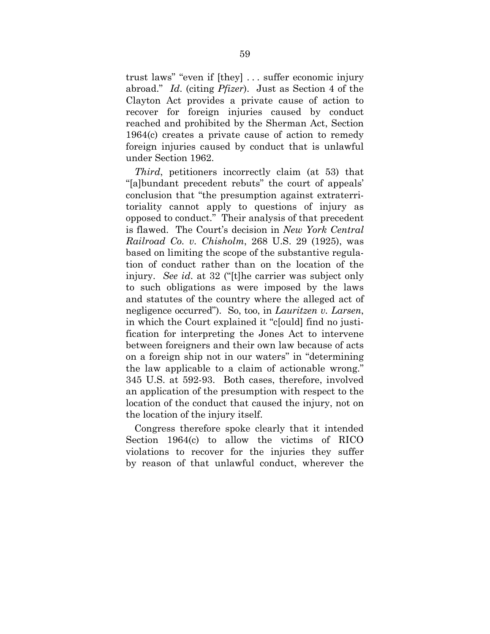trust laws" "even if [they] . . . suffer economic injury abroad." *Id*. (citing *Pfizer*). Just as Section 4 of the Clayton Act provides a private cause of action to recover for foreign injuries caused by conduct reached and prohibited by the Sherman Act, Section 1964(c) creates a private cause of action to remedy foreign injuries caused by conduct that is unlawful under Section 1962.

*Third*, petitioners incorrectly claim (at 53) that "[a]bundant precedent rebuts" the court of appeals' conclusion that "the presumption against extraterritoriality cannot apply to questions of injury as opposed to conduct." Their analysis of that precedent is flawed. The Court's decision in *New York Central Railroad Co. v. Chisholm*, 268 U.S. 29 (1925), was based on limiting the scope of the substantive regulation of conduct rather than on the location of the injury. *See id*. at 32 ("[t]he carrier was subject only to such obligations as were imposed by the laws and statutes of the country where the alleged act of negligence occurred"). So, too, in *Lauritzen v. Larsen*, in which the Court explained it "c[ould] find no justification for interpreting the Jones Act to intervene between foreigners and their own law because of acts on a foreign ship not in our waters" in "determining the law applicable to a claim of actionable wrong." 345 U.S. at 592-93. Both cases, therefore, involved an application of the presumption with respect to the location of the conduct that caused the injury, not on the location of the injury itself.

Congress therefore spoke clearly that it intended Section 1964(c) to allow the victims of RICO violations to recover for the injuries they suffer by reason of that unlawful conduct, wherever the